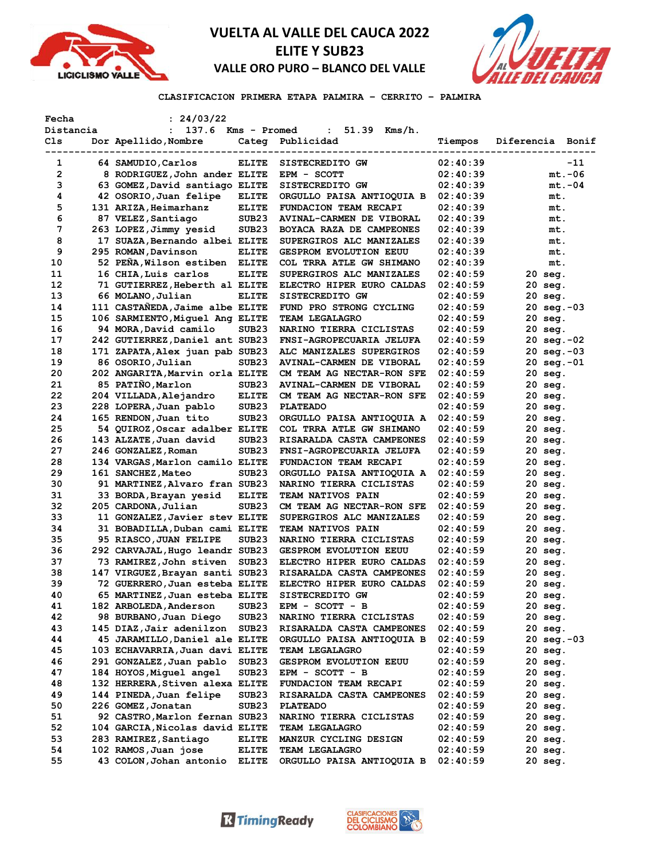



## **CLASIFICACION PRIMERA ETAPA PALMIRA – CERRITO – PALMIRA**

| Fecha     | : 24/03/22                                           |                   |                                 |          |                       |          |
|-----------|------------------------------------------------------|-------------------|---------------------------------|----------|-----------------------|----------|
| Distancia | 137.6<br>$\ddot{\phantom{a}}$                        | Kms - Promed      | 51.39<br>Kms/h.                 |          |                       |          |
| Cls       | Dor Apellido, Nombre                                 | Categ             | Publicidad                      | Tiempos  | Diferencia            | Bonif    |
|           |                                                      |                   |                                 |          |                       |          |
| 1         | 64 SAMUDIO, Carlos                                   | <b>ELITE</b>      | SISTECREDITO GW                 | 02:40:39 |                       | $-11$    |
| 2         | 8 RODRIGUEZ, John ander ELITE                        |                   | EPM - SCOTT                     | 02:40:39 |                       | $mt.-06$ |
| з         | 63 GOMEZ, David santiago ELITE                       |                   | SISTECREDITO GW                 | 02:40:39 |                       | $mt.-04$ |
| 4         | 42 OSORIO, Juan felipe                               | <b>ELITE</b>      | ORGULLO PAISA ANTIOQUIA B       | 02:40:39 | mt.                   |          |
| 5         | 131 ARIZA, Heimarhanz                                | <b>ELITE</b>      | FUNDACION TEAM RECAPI           | 02:40:39 | mt.                   |          |
| 6         | 87 VELEZ, Santiago                                   | SUB <sub>23</sub> | AVINAL-CARMEN DE VIBORAL        | 02:40:39 | mt.                   |          |
| 7         | 263 LOPEZ,Jimmy yesid                                | SUB <sub>23</sub> | BOYACA RAZA DE CAMPEONES        | 02:40:39 | mt.                   |          |
| 8         | 17 SUAZA,Bernando albei ELITE                        |                   | SUPERGIROS ALC MANIZALES        | 02:40:39 | mt.                   |          |
| 9         | 295 ROMAN, Davinson                                  | <b>ELITE</b>      | <b>GESPROM EVOLUTION EEUU</b>   | 02:40:39 | mt.                   |          |
| 10        | 52 PEÑA, Wilson estiben                              | <b>ELITE</b>      | COL TRRA ATLE GW SHIMANO        | 02:40:39 | mt.                   |          |
| 11        | 16 CHIA, Luis carlos                                 | <b>ELITE</b>      | SUPERGIROS ALC MANIZALES        | 02:40:59 | 20 seg.               |          |
| 12        | 71 GUTIERREZ, Heberth al ELITE                       |                   | ELECTRO HIPER EURO CALDAS       | 02:40:59 | 20 seg.               |          |
| 13        | 66 MOLANO, Julian                                    | <b>ELITE</b>      | SISTECREDITO GW                 | 02:40:59 | 20 seg.               |          |
| 14        | 111 CASTANEDA, Jaime albe ELITE                      |                   | FUND PRO STRONG CYCLING         | 02:40:59 | 20 seg.-03            |          |
| 15        | 106 SARMIENTO, Miquel Ang ELITE                      |                   | <b>TEAM LEGALAGRO</b>           | 02:40:59 | 20 seg.               |          |
| 16        | 94 MORA, David camilo                                | SUB23             | NARINO TIERRA CICLISTAS         | 02:40:59 | 20 seg.               |          |
| 17        | 242 GUTIERREZ, Daniel ant SUB23                      |                   | FNSI-AGROPECUARIA JELUFA        | 02:40:59 | 20 seg.-02            |          |
| 18        | 171 ZAPATA, Alex juan pab SUB23                      |                   | ALC MANIZALES SUPERGIROS        | 02:40:59 | 20 seg.-03            |          |
| 19        | 86 OSORIO, Julian                                    | SUB23             | <b>AVINAL-CARMEN DE VIBORAL</b> | 02:40:59 | $20 \text{ seq.} -01$ |          |
| 20        | 202 ANGARITA, Marvin orla ELITE                      |                   | CM TEAM AG NECTAR-RON SFE       | 02:40:59 | $20$ seg.             |          |
| 21        | 85 PATIÑO, Marlon                                    | SUB <sub>23</sub> | AVINAL-CARMEN DE VIBORAL        | 02:40:59 | 20 seg.               |          |
| 22        | 204 VILLADA, Alejandro                               | <b>ELITE</b>      | CM TEAM AG NECTAR-RON SFE       | 02:40:59 | 20 seg.               |          |
| 23        | 228 LOPERA, Juan pablo                               | SUB <sub>23</sub> | <b>PLATEADO</b>                 | 02:40:59 | 20 seg.               |          |
| 24        | 165 RENDON, Juan tito                                | SUB <sub>23</sub> | ORGULLO PAISA ANTIOQUIA A       | 02:40:59 | 20 seg.               |          |
| 25        | 54 QUIROZ,Oscar adalber ELITE                        |                   | COL TRRA ATLE GW SHIMANO        | 02:40:59 | 20 seg.               |          |
| 26        | 143 ALZATE, Juan david                               | SUB <sub>23</sub> | RISARALDA CASTA CAMPEONES       | 02:40:59 | 20 seg.               |          |
| 27        | 246 GONZALEZ, Roman                                  | SUB <sub>23</sub> | FNSI-AGROPECUARIA JELUFA        | 02:40:59 | 20 seg.               |          |
| 28        | 134 VARGAS, Marlon camilo ELITE                      |                   | FUNDACION TEAM RECAPI           | 02:40:59 | $20$ seg.             |          |
| 29        | 161 SANCHEZ, Mateo                                   | SUB23             | ORGULLO PAISA ANTIOQUIA A       | 02:40:59 | 20 seg.               |          |
| 30        | 91 MARTINEZ,Alvaro fran SUB23                        |                   | NARINO TIERRA CICLISTAS         | 02:40:59 | 20 seg.               |          |
| 31        | 33 BORDA,Brayan yesid                                | <b>ELITE</b>      | <b>TEAM NATIVOS PAIN</b>        | 02:40:59 | 20 seg.               |          |
| 32        | 205 CARDONA, Julian                                  | SUB23             | CM TEAM AG NECTAR-RON SFE       | 02:40:59 | 20 seg.               |          |
| 33        | 11 GONZALEZ, Javier stev ELITE                       |                   | SUPERGIROS ALC MANIZALES        | 02:40:59 | 20 seg.               |          |
| 34        | 31 BOBADILLA,Duban cami ELITE                        |                   | <b>TEAM NATIVOS PAIN</b>        | 02:40:59 | 20 seg.               |          |
| 35        | 95 RIASCO, JUAN FELIPE                               | SUB23             | NARINO TIERRA CICLISTAS         | 02:40:59 | 20 seg.               |          |
| 36        | 292 CARVAJAL, Hugo leandr SUB23                      |                   | <b>GESPROM EVOLUTION EEUU</b>   | 02:40:59 | 20 seg.               |          |
| 37        | 73 RAMIREZ, John stiven                              | SUB <sub>23</sub> | ELECTRO HIPER EURO CALDAS       | 02:40:59 | 20 seg.               |          |
| 38        | 147 VIRGUEZ, Brayan santi SUB23                      |                   | RISARALDA CASTA CAMPEONES       | 02:40:59 | 20 seg.               |          |
| 39        | 72 GUERRERO,Juan esteba ELITE                        |                   | ELECTRO HIPER EURO CALDAS       | 02:40:59 | 20 seg.               |          |
| 40        | 65 MARTINEZ, Juan esteba ELITE                       |                   | SISTECREDITO GW                 | 02:40:59 | 20 seg.               |          |
| 41        | 182 ARBOLEDA, Anderson                               | SUB23             | $EPM - SCOTT - B$               | 02:40:59 | 20 seg.               |          |
| 42        | 98 BURBANO, Juan Diego                               | SUB <sub>23</sub> | NARINO TIERRA CICLISTAS         | 02:40:59 | 20 seg.               |          |
| 43        | 145 DIAZ, Jair adenilzon                             | SUB23             | RISARALDA CASTA CAMPEONES       | 02:40:59 | 20 seg.               |          |
| 44        | 45 JARAMILLO, Daniel ale ELITE                       |                   | ORGULLO PAISA ANTIOQUIA B       | 02:40:59 | 20 seg. - 03          |          |
| 45        | 103 ECHAVARRIA, Juan davi ELITE                      |                   | TEAM LEGALAGRO                  | 02:40:59 | 20 seg.               |          |
| 46        | 291 GONZALEZ, Juan pablo                             | SUB <sub>23</sub> | <b>GESPROM EVOLUTION EEUU</b>   | 02:40:59 | 20 seg.               |          |
| 47        | 184 HOYOS, Miguel angel                              | SUB <sub>23</sub> | $EPM - SCOTT - B$               | 02:40:59 | 20 seg.               |          |
| 48        | 132 HERRERA, Stiven alexa ELITE                      |                   | FUNDACION TEAM RECAPI           | 02:40:59 | 20 seg.               |          |
| 49        | 144 PINEDA, Juan felipe                              | SUB <sub>23</sub> | RISARALDA CASTA CAMPEONES       |          | $20$ seg.             |          |
| 50        |                                                      |                   |                                 | 02:40:59 |                       |          |
| 51        | 226 GOMEZ, Jonatan<br>92 CASTRO, Marlon fernan SUB23 | SUB23             | <b>PLATEADO</b>                 | 02:40:59 | 20 seg.               |          |
|           |                                                      |                   | NARINO TIERRA CICLISTAS         | 02:40:59 | 20 seg.               |          |
| 52        | 104 GARCIA, Nicolas david ELITE                      |                   | TEAM LEGALAGRO                  | 02:40:59 | 20 seg.               |          |
| 53        | 283 RAMIREZ, Santiago                                | <b>ELITE</b>      | MANZUR CYCLING DESIGN           | 02:40:59 | 20 seg.               |          |
| 54        | 102 RAMOS, Juan jose                                 | <b>ELITE</b>      | TEAM LEGALAGRO                  | 02:40:59 | 20 seg.               |          |
| 55        | 43 COLON, Johan antonio                              | <b>ELITE</b>      | ORGULLO PAISA ANTIOQUIA B       | 02:40:59 | 20 seg.               |          |

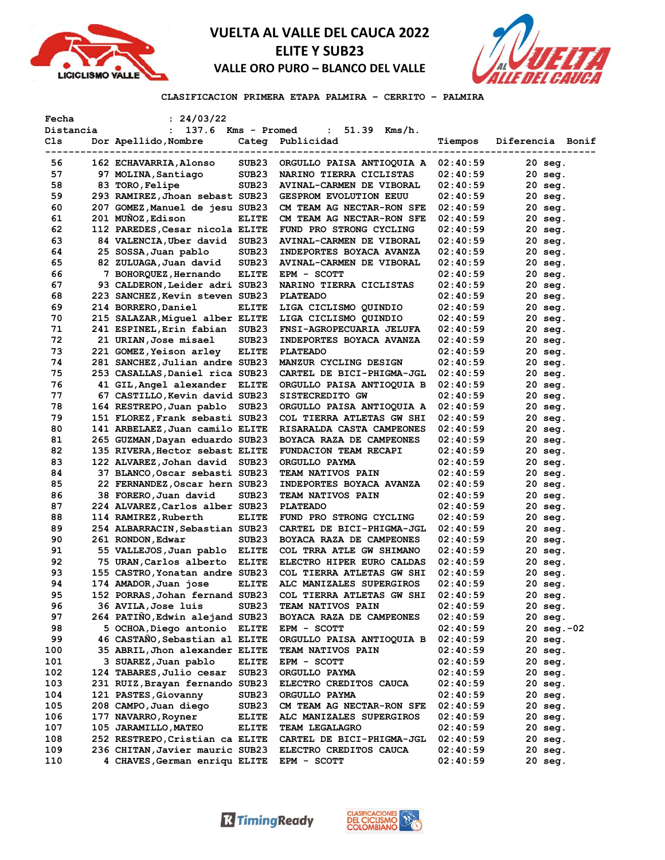



**CLASIFICACION PRIMERA ETAPA PALMIRA – CERRITO – PALMIRA** 

| Fecha     | : 24/03/22                                                         |                   |                                                     |                      |                    |
|-----------|--------------------------------------------------------------------|-------------------|-----------------------------------------------------|----------------------|--------------------|
| Distancia | 137.6 Kms - Promed<br>$\mathbf{L}$                                 |                   | $51.39$ Kms/h.<br>$\mathbf{L}$                      |                      |                    |
| Cls       | Dor Apellido, Nombre                                               | Categ             | Publicidad                                          | Tiempos              | Diferencia Bonif   |
| ------    |                                                                    |                   |                                                     |                      |                    |
| 56        | 162 ECHAVARRIA, Alonso                                             | SUB <sub>23</sub> | ORGULLO PAISA ANTIOQUIA A                           | 02:40:59             | 20 seg.            |
| 57        | 97 MOLINA, Santiago                                                | SUB23             | NARINO TIERRA CICLISTAS                             | 02:40:59             | 20 seg.            |
| 58        | 83 TORO, Felipe                                                    | SUB23             | AVINAL-CARMEN DE VIBORAL                            | 02:40:59             | 20 seg.            |
| 59        | 293 RAMIREZ, Jhoan sebast SUB23                                    |                   | <b>GESPROM EVOLUTION EEUU</b>                       | 02:40:59             | $20$ seg.          |
| 60        | 207 GOMEZ, Manuel de jesu SUB23                                    |                   | CM TEAM AG NECTAR-RON SFE                           | 02:40:59             | $20$ seg.          |
| 61        | 201 MUNOZ, Edison                                                  | <b>ELITE</b>      | CM TEAM AG NECTAR-RON SFE                           | 02:40:59             | $20$ seq.          |
| 62        | 112 PAREDES, Cesar nicola ELITE                                    |                   | FUND PRO STRONG CYCLING                             | 02:40:59             | $20$ seg.          |
| 63        | 84 VALENCIA,Uber david                                             | SUB23             | AVINAL-CARMEN DE VIBORAL                            | 02:40:59             | $20$ seg.          |
| 64        | 25 SOSSA, Juan pablo                                               | SUB23             | <b>INDEPORTES BOYACA AVANZA</b>                     | 02:40:59             | 20 seg.            |
| 65        | 82 ZULUAGA, Juan david                                             | SUB <sub>23</sub> | AVINAL-CARMEN DE VIBORAL                            | 02:40:59             | $20$ seg.          |
| 66        | 7 BOHORQUEZ, Hernando                                              | <b>ELITE</b>      | EPM - SCOTT                                         | 02:40:59             | 20 seg.            |
| 67        | 93 CALDERON, Leider adri SUB23                                     |                   | NARINO TIERRA CICLISTAS                             | 02:40:59             | 20 seg.            |
| 68        | 223 SANCHEZ, Kevin steven SUB23                                    |                   | <b>PLATEADO</b>                                     | 02:40:59             | $20$ seq.          |
| 69        | 214 BORRERO, Daniel                                                | <b>ELITE</b>      | LIGA CICLISMO QUINDIO                               | 02:40:59             | 20 seg.            |
| 70        | 215 SALAZAR, Miguel alber ELITE                                    |                   | LIGA CICLISMO QUINDIO                               | 02:40:59             | 20 seg.            |
| 71        | 241 ESPINEL,Erin fabian                                            | SUB <sub>23</sub> | FNSI-AGROPECUARIA JELUFA                            | 02:40:59             | 20 seg.            |
| 72        | 21 URIAN, Jose misael                                              | SUB <sub>23</sub> | INDEPORTES BOYACA AVANZA                            | 02:40:59             | $20$ seg.          |
| 73        | 221 GOMEZ, Yeison arley                                            | <b>ELITE</b>      | <b>PLATEADO</b>                                     | 02:40:59             | 20 seg.            |
| 74        | 281 SANCHEZ, Julian andre SUB23                                    |                   | MANZUR CYCLING DESIGN                               | 02:40:59             | 20 seg.            |
| 75        | 253 CASALLAS, Daniel rica SUB23                                    |                   | CARTEL DE BICI-PHIGMA-JGL                           | 02:40:59             | $20$ seg.          |
| 76        | 41 GIL,Angel alexander ELITE                                       |                   | ORGULLO PAISA ANTIOQUIA B                           | 02:40:59             | $20$ seq.          |
| 77        | 67 CASTILLO, Kevin david SUB23                                     |                   | <b>SISTECREDITO GW</b>                              | 02:40:59             | 20 seg.            |
| 78        | 164 RESTREPO, Juan pablo                                           | SUB23             | ORGULLO PAISA ANTIOQUIA A                           | 02:40:59             | 20 seg.            |
| 79        | 151 FLOREZ, Frank sebasti SUB23                                    |                   | COL TIERRA ATLETAS GW SHI                           | 02:40:59             | 20 seg.            |
| 80        | 141 ARBELAEZ, Juan camilo ELITE                                    |                   | RISARALDA CASTA CAMPEONES                           | 02:40:59             | 20 seg.            |
| 81        | 265 GUZMAN, Dayan eduardo SUB23                                    |                   | BOYACA RAZA DE CAMPEONES                            | 02:40:59             | 20 seg.            |
| 82        | 135 RIVERA, Hector sebast ELITE                                    |                   | FUNDACION TEAM RECAPI                               | 02:40:59             | $20$ seg.          |
| 83        | 122 ALVAREZ,Johan david                                            | SUB <sub>23</sub> | <b>ORGULLO PAYMA</b>                                | 02:40:59             | 20 seg.            |
| 84        | 37 BLANCO,Oscar sebasti SUB23                                      |                   | <b>TEAM NATIVOS PAIN</b>                            | 02:40:59             | 20 seg.            |
| 85        | 22 FERNANDEZ, Oscar hern SUB23                                     |                   | <b>INDEPORTES BOYACA AVANZA</b>                     | 02:40:59             | $20$ seq.          |
| 86        | 38 FORERO, Juan david                                              | SUB23             | <b>TEAM NATIVOS PAIN</b>                            | 02:40:59             | 20 seg.            |
| 87        | 224 ALVAREZ, Carlos alber SUB23                                    |                   | <b>PLATEADO</b>                                     | 02:40:59             | 20 seg.            |
| 88        | 114 RAMIREZ, Ruberth                                               | <b>ELITE</b>      | FUND PRO STRONG CYCLING                             | 02:40:59             | 20 seg.            |
| 89        | 254 ALBARRACIN, Sebastian SUB23                                    |                   | CARTEL DE BICI-PHIGMA-JGL                           | 02:40:59             | 20 seg.            |
| 90        | 261 RONDON, Edwar                                                  | SUB <sub>23</sub> | BOYACA RAZA DE CAMPEONES                            | 02:40:59             | $20$ seq.          |
| 91        | 55 VALLEJOS, Juan pablo ELITE                                      |                   | COL TRRA ATLE GW SHIMANO                            | 02:40:59             | $20$ seq.          |
| 92        | 75 URAN,Carlos alberto                                             | <b>ELITE</b>      | ELECTRO HIPER EURO CALDAS                           | 02:40:59             | 20 seg.            |
| 93        | 155 CASTRO, Yonatan andre SUB23                                    |                   | <b>COL TIERRA ATLETAS GW SHI</b>                    | 02:40:59             | 20 seg.            |
| 94        | 174 AMADOR, Juan jose                                              | <b>ELITE</b>      | ALC MANIZALES SUPERGIROS                            | 02:40:59             | 20 seg.            |
| 95        | 152 PORRAS, Johan fernand SUB23                                    |                   | COL TIERRA ATLETAS GW SHI                           | 02:40:59             | 20 sea.            |
| 96        | <b>36 AVILA,Jose luis</b>                                          | SUB23             | <b>TEAM NATIVOS PAIN</b>                            | 02:40:59             | 20 seg.            |
| 97        | 264 PATIÑO, Edwin alejand SUB23                                    |                   | BOYACA RAZA DE CAMPEONES                            | 02:40:59             | 20 seg.            |
| 98        | 5 OCHOA, Diego antonio                                             | ELITE             | EPM - SCOTT                                         | 02:40:59             | 20 seg.-02         |
| 99        | 46 CASTANO, Sebastian al ELITE                                     |                   | ORGULLO PAISA ANTIOQUIA B                           | 02:40:59             | 20 seg.            |
| 100       | 35 ABRIL, Jhon alexander ELITE                                     |                   | <b>TEAM NATIVOS PAIN</b>                            | 02:40:59             | 20 seg.            |
| 101       | 3 SUAREZ, Juan pablo                                               | ELITE             | EPM - SCOTT                                         | 02:40:59             | 20 seg.            |
| 102       | 124 TABARES, Julio cesar                                           | SUB23             | ORGULLO PAYMA                                       | 02:40:59             | 20 seg.            |
| 103       | 231 RUIZ, Brayan fernando SUB23                                    |                   | ELECTRO CREDITOS CAUCA                              | 02:40:59             | 20 seg.            |
| 104       | 121 PASTES, Giovanny                                               | SUB23             | <b>ORGULLO PAYMA</b>                                | 02:40:59             | 20 seg.            |
| 105       | 208 CAMPO, Juan diego                                              | SUB23             | CM TEAM AG NECTAR-RON SFE                           | 02:40:59             | 20 seg.            |
| 106       | 177 NAVARRO, Royner                                                | <b>ELITE</b>      | ALC MANIZALES SUPERGIROS                            | 02:40:59             | 20 seg.            |
| 107       | 105 JARAMILLO, MATEO                                               | <b>ELITE</b>      | TEAM LEGALAGRO                                      |                      |                    |
| 108       |                                                                    |                   |                                                     | 02:40:59<br>02:40:59 | 20 seg.            |
| 109       | 252 RESTREPO, Cristian ca ELITE<br>236 CHITAN, Javier mauric SUB23 |                   | CARTEL DE BICI-PHIGMA-JGL<br>ELECTRO CREDITOS CAUCA | 02:40:59             | 20 seg.<br>20 seg. |
| 110       | 4 CHAVES, German enriqu ELITE                                      |                   | EPM - SCOTT                                         | 02:40:59             | 20 seg.            |
|           |                                                                    |                   |                                                     |                      |                    |

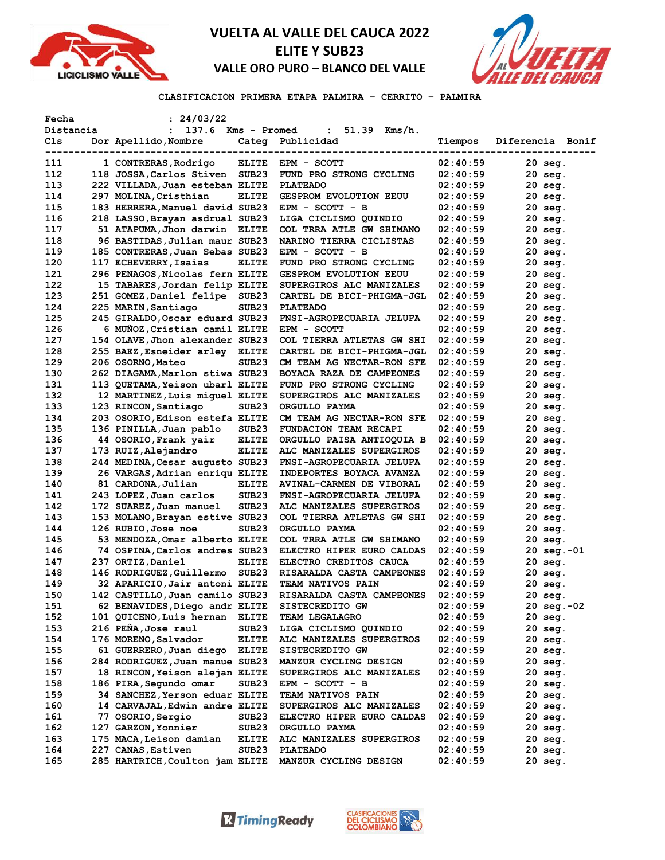



## **CLASIFICACION PRIMERA ETAPA PALMIRA – CERRITO – PALMIRA**

| Fecha           | : 24/03/22                      |                   |                                            |          |                       |
|-----------------|---------------------------------|-------------------|--------------------------------------------|----------|-----------------------|
| Distancia       | 137.6<br>$\mathbf{L}$           | Kms - Promed      | $51.39$ Kms/h.<br>$\mathbf{L}$             |          |                       |
| Cls             | Dor Apellido, Nombre            |                   | Categ Publicidad                           | Tiempos  | Diferencia Bonif      |
| --------------- | ---------------------           |                   |                                            |          |                       |
| 111             | 1 CONTRERAS, Rodrigo            | <b>ELITE</b>      | EPM - SCOTT                                | 02:40:59 | 20 seg.               |
| 112             | 118 JOSSA, Carlos Stiven        | SUB <sub>23</sub> | FUND PRO STRONG CYCLING                    | 02:40:59 | $20$ seg.             |
| 113             | 222 VILLADA, Juan esteban ELITE |                   | <b>PLATEADO</b>                            | 02:40:59 | $20$ seg.             |
| 114             | 297 MOLINA, Cristhian           | <b>ELITE</b>      | <b>GESPROM EVOLUTION EEUU</b>              | 02:40:59 | $20$ seg.             |
| 115             | 183 HERRERA, Manuel david SUB23 |                   | EPM - SCOTT - B                            | 02:40:59 | $20$ seg.             |
| 116             | 218 LASSO, Brayan asdrual SUB23 |                   | LIGA CICLISMO QUINDIO                      | 02:40:59 | $20$ seq.             |
| 117             | 51 ATAPUMA, Jhon darwin ELITE   |                   | COL TRRA ATLE GW SHIMANO                   | 02:40:59 | $20$ seg.             |
| 118             | 96 BASTIDAS, Julian maur SUB23  |                   | NARINO TIERRA CICLISTAS                    | 02:40:59 | $20$ seg.             |
| 119             | 185 CONTRERAS, Juan Sebas SUB23 |                   | EPM - SCOTT - B                            | 02:40:59 | $20$ seg.             |
| 120             | 117 ECHEVERRY, Isaias           | <b>ELITE</b>      | FUND PRO STRONG CYCLING                    | 02:40:59 | $20$ seq.             |
| 121             | 296 PENAGOS, Nicolas fern ELITE |                   | <b>GESPROM EVOLUTION EEUU</b>              | 02:40:59 | $20$ seg.             |
| 122             | 15 TABARES, Jordan felip ELITE  |                   | SUPERGIROS ALC MANIZALES                   | 02:40:59 | $20$ seg.             |
| 123             | 251 GOMEZ, Daniel felipe SUB23  |                   | CARTEL DE BICI-PHIGMA-JGL                  | 02:40:59 | $20$ seq.             |
| 124             | 225 MARIN, Santiago             | SUB <sub>23</sub> | <b>PLATEADO</b>                            | 02:40:59 | $20$ seg.             |
| 125             | 245 GIRALDO, Oscar eduard SUB23 |                   | FNSI-AGROPECUARIA JELUFA                   | 02:40:59 | $20$ seq.             |
| 126             | 6 MUNOZ, Cristian camil ELITE   |                   | EPM - SCOTT                                | 02:40:59 | $20$ seg.             |
| 127             | 154 OLAVE, Jhon alexander SUB23 |                   | COL TIERRA ATLETAS GW SHI                  | 02:40:59 | $20$ seg.             |
| 128             | 255 BAEZ, Esneider arley ELITE  |                   | CARTEL DE BICI-PHIGMA-JGL                  | 02:40:59 | $20$ seg.             |
| 129             | 206 OSORNO, Mateo               | SUB <sub>23</sub> | CM TEAM AG NECTAR-RON SFE                  | 02:40:59 | $20$ seg.             |
| 130             | 262 DIAGAMA, Marlon stiwa SUB23 |                   | BOYACA RAZA DE CAMPEONES                   | 02:40:59 | $20$ seq.             |
| 131             | 113 QUETAMA, Yeison ubarl ELITE |                   | FUND PRO STRONG CYCLING                    | 02:40:59 | $20$ seg.             |
| 132             | 12 MARTINEZ, Luis miguel ELITE  |                   | SUPERGIROS ALC MANIZALES                   | 02:40:59 | $20$ seg.             |
| 133             | 123 RINCON, Santiago            | SUB <sub>23</sub> | ORGULLO PAYMA                              | 02:40:59 | $20$ seg.             |
| 134             | 203 OSORIO, Edison estefa ELITE |                   | CM TEAM AG NECTAR-RON SFE                  | 02:40:59 | $20$ seg.             |
| 135             | 136 PINILLA, Juan pablo         | SUB <sub>23</sub> | FUNDACION TEAM RECAPI                      | 02:40:59 | 20 seg.               |
| 136             | 44 OSORIO, Frank yair           | <b>ELITE</b>      | ORGULLO PAISA ANTIOQUIA B                  | 02:40:59 | $20$ seq.             |
| 137             | 173 RUIZ, Alejandro             | <b>ELITE</b>      | ALC MANIZALES SUPERGIROS                   | 02:40:59 | $20$ seq.             |
| 138             | 244 MEDINA, Cesar augusto SUB23 |                   | FNSI-AGROPECUARIA JELUFA                   | 02:40:59 | 20 seg.               |
| 139             | 26 VARGAS, Adrian enriqu ELITE  |                   | INDEPORTES BOYACA AVANZA                   | 02:40:59 | $20$ seg.             |
| 140             | 81 CARDONA, Julian              | <b>ELITE</b>      | <b>AVINAL-CARMEN DE VIBORAL</b>            | 02:40:59 | $20$ seg.             |
| 141             | 243 LOPEZ, Juan carlos          | SUB <sub>23</sub> | FNSI-AGROPECUARIA JELUFA                   | 02:40:59 | $20$ seg.             |
| 142             | 172 SUAREZ, Juan manuel         | SUB <sub>23</sub> | ALC MANIZALES SUPERGIROS                   | 02:40:59 | $20$ seg.             |
| 143             | 153 MOLANO, Brayan estive SUB23 |                   | COL TIERRA ATLETAS GW SHI                  | 02:40:59 | $20$ seg.             |
| 144             | 126 RUBIO, Jose noe             | SUB <sub>23</sub> | ORGULLO PAYMA                              | 02:40:59 | $20$ seg.             |
| 145             | 53 MENDOZA, Omar alberto ELITE  |                   | COL TRRA ATLE GW SHIMANO                   | 02:40:59 | $20$ seq.             |
| 146             | 74 OSPINA, Carlos andres SUB23  |                   | ELECTRO HIPER EURO CALDAS                  | 02:40:59 | $20 \text{ seq.} -01$ |
| 147             | 237 ORTIZ, Daniel               | <b>ELITE</b>      | ELECTRO CREDITOS CAUCA                     | 02:40:59 | $20$ seg.             |
| 148             | 146 RODRIGUEZ,Guillermo         | SUB <sub>23</sub> | RISARALDA CASTA CAMPEONES                  | 02:40:59 | $20$ seg.             |
| 149             | 32 APARICIO, Jair antoni ELITE  |                   | <b>TEAM NATIVOS PAIN</b>                   | 02:40:59 | $20$ seq.             |
| 150             | 142 CASTILLO, Juan camilo SUB23 |                   | RISARALDA CASTA CAMPEONES                  | 02:40:59 | $20$ seq.             |
| 151             | 62 BENAVIDES, Diego andr ELITE  |                   | SISTECREDITO GW                            | 02:40:59 | 20 seg.-02            |
| 152             | 101 QUICENO, Luis hernan ELITE  |                   | TEAM LEGALAGRO                             | 02:40:59 | 20 seg.               |
| 153             | 216 PEÑA, Jose raul             | SUB <sub>23</sub> | LIGA CICLISMO QUINDIO                      | 02:40:59 | 20 seg.               |
| 154             | 176 MORENO, Salvador            | <b>ELITE</b>      | ALC MANIZALES SUPERGIROS                   | 02:40:59 | 20 seg.               |
| 155             | 61 GUERRERO, Juan diego         | <b>ELITE</b>      | SISTECREDITO GW                            | 02:40:59 | 20 seg.               |
| 156             | 284 RODRIGUEZ, Juan manue SUB23 |                   | MANZUR CYCLING DESIGN                      | 02:40:59 | 20 seg.               |
| 157             | 18 RINCON, Yeison alejan ELITE  |                   | SUPERGIROS ALC MANIZALES                   | 02:40:59 | 20 seg.               |
| 158             | 186 PIRA, Segundo omar          | SUB23             | $EPM - SCOTT - B$                          | 02:40:59 | 20 seg.               |
| 159             | 34 SANCHEZ, Yerson eduar ELITE  |                   | <b>TEAM NATIVOS PAIN</b>                   | 02:40:59 | 20 seg.               |
| 160             | 14 CARVAJAL, Edwin andre ELITE  |                   | SUPERGIROS ALC MANIZALES                   | 02:40:59 | $20$ seg.             |
| 161             | 77 OSORIO, Sergio               | SUB23             |                                            |          | 20 seg.               |
| 162             | 127 GARZON, Yonnier             | SUB <sub>23</sub> | ELECTRO HIPER EURO CALDAS<br>ORGULLO PAYMA | 02:40:59 |                       |
| 163             | 175 MACA, Leison damian         |                   | ALC MANIZALES SUPERGIROS                   | 02:40:59 | 20 seg.               |
|                 |                                 | <b>ELITE</b>      |                                            | 02:40:59 | 20 seg.               |
| 164             | 227 CANAS, Estiven              | SUB <sub>23</sub> | <b>PLATEADO</b>                            | 02:40:59 | 20 seg.               |
| 165             | 285 HARTRICH, Coulton jam ELITE |                   | MANZUR CYCLING DESIGN                      | 02:40:59 | 20 seg.               |

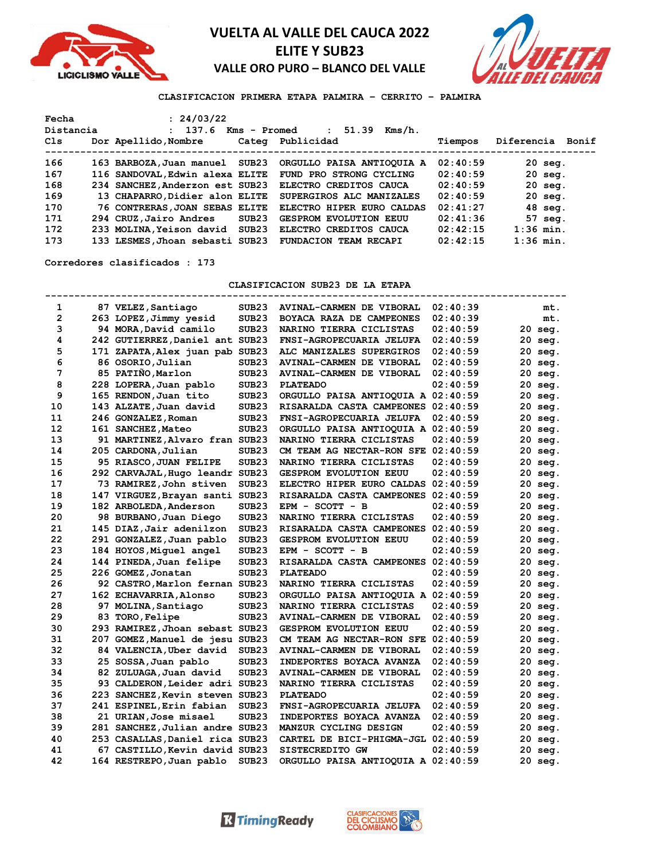



**CLASIFICACION PRIMERA ETAPA PALMIRA – CERRITO – PALMIRA** 

| Fecha<br>Distancia | : 24/03/22<br>: 137.6           |                   | 51.39<br>Kms/h.<br>Kms - Promed<br>$\mathbf{L}$ |          |                   |
|--------------------|---------------------------------|-------------------|-------------------------------------------------|----------|-------------------|
| Cls                | Dor Apellido, Nombre            |                   | Categ Publicidad                                | Tiempos  | Diferencia Bonif  |
| 166                | 163 BARBOZA, Juan manuel SUB23  |                   | ORGULLO PAISA ANTIOOUIA A                       | 02:40:59 | $20 \text{ seq.}$ |
| 167                | 116 SANDOVAL, Edwin alexa ELITE |                   | FUND PRO STRONG CYCLING                         | 02:40:59 | $20$ seg.         |
| 168                | 234 SANCHEZ, Anderzon est SUB23 |                   | ELECTRO CREDITOS CAUCA                          | 02:40:59 | $20$ seq.         |
| 169                | 13 CHAPARRO, Didier alon ELITE  |                   | SUPERGIROS ALC MANIZALES                        | 02:40:59 | $20$ seq.         |
| 170                | 76 CONTRERAS, JOAN SEBAS ELITE  |                   | ELECTRO HIPER EURO CALDAS                       | 02:41:27 | $48$ seq.         |
| 171                | 294 CRUZ, Jairo Andres          | SUB <sub>23</sub> | <b>GESPROM EVOLUTION EEUU</b>                   | 02:41:36 | $57 \text{ seq.}$ |
| 172                | 233 MOLINA, Yeison david        | SUB <sub>23</sub> | ELECTRO CREDITOS CAUCA                          | 02:42:15 | $1:36$ min.       |
| 173                | 133 LESMES, Jhoan sebasti SUB23 |                   | <b>FUNDACION TEAM RECAPI</b>                    | 02:42:15 | $1:36$ min.       |

**Corredores clasificados : 173**

**CLASIFICACION SUB23 DE LA ETAPA**

| 1  | 87 VELEZ, Santiago              | SUB <sub>23</sub> | AVINAL-CARMEN DE VIBORAL           | 02:40:39 | mt.       |
|----|---------------------------------|-------------------|------------------------------------|----------|-----------|
| 2  | 263 LOPEZ,Jimmy yesid           | SUB <sub>23</sub> | BOYACA RAZA DE CAMPEONES           | 02:40:39 | mt.       |
| 3  | 94 MORA, David camilo           | SUB <sub>23</sub> | NARINO TIERRA CICLISTAS            | 02:40:59 | 20 seg.   |
| 4  | 242 GUTIERREZ, Daniel ant SUB23 |                   | FNSI-AGROPECUARIA JELUFA           | 02:40:59 | $20$ seg. |
| 5  | 171 ZAPATA, Alex juan pab SUB23 |                   | ALC MANIZALES SUPERGIROS           | 02:40:59 | $20$ seg. |
| 6  | 86 OSORIO, Julian               | SUB <sub>23</sub> | AVINAL-CARMEN DE VIBORAL           | 02:40:59 | 20 seg.   |
| 7  | 85 PATIÑO, Marlon               | SUB <sub>23</sub> | AVINAL-CARMEN DE VIBORAL           | 02:40:59 | 20 seg.   |
| 8  | 228 LOPERA, Juan pablo          | SUB <sub>23</sub> | <b>PLATEADO</b>                    | 02:40:59 | 20 seg.   |
| 9  | 165 RENDON, Juan tito           | SUB <sub>23</sub> | ORGULLO PAISA ANTIOQUIA A 02:40:59 |          | 20 seg.   |
| 10 | 143 ALZATE, Juan david          | SUB <sub>23</sub> | RISARALDA CASTA CAMPEONES 02:40:59 |          | $20$ seg. |
| 11 | 246 GONZALEZ, Roman             | SUB <sub>23</sub> | FNSI-AGROPECUARIA JELUFA           | 02:40:59 | 20 seg.   |
| 12 | 161 SANCHEZ, Mateo              | SUB <sub>23</sub> | ORGULLO PAISA ANTIOQUIA A 02:40:59 |          | 20 seg.   |
| 13 | 91 MARTINEZ, Alvaro fran SUB23  |                   | NARINO TIERRA CICLISTAS            | 02:40:59 | $20$ seq. |
| 14 | 205 CARDONA, Julian             | SUB <sub>23</sub> | CM TEAM AG NECTAR-RON SFE 02:40:59 |          | $20$ seq. |
| 15 | 95 RIASCO, JUAN FELIPE          | SUB <sub>23</sub> | NARINO TIERRA CICLISTAS            | 02:40:59 | 20 seg.   |
| 16 | 292 CARVAJAL, Hugo leandr SUB23 |                   | <b>GESPROM EVOLUTION EEUU</b>      | 02:40:59 | 20 seg.   |
| 17 | 73 RAMIREZ, John stiven         | SUB <sub>23</sub> | ELECTRO HIPER EURO CALDAS          | 02:40:59 | $20$ seq. |
| 18 | 147 VIRGUEZ, Brayan santi SUB23 |                   | RISARALDA CASTA CAMPEONES          | 02:40:59 | $20$ seq. |
| 19 | 182 ARBOLEDA, Anderson          | SUB <sub>23</sub> | EPM - SCOTT - B                    | 02:40:59 | 20 seg.   |
| 20 | 98 BURBANO, Juan Diego          | SUB <sub>23</sub> | NARINO TIERRA CICLISTAS            | 02:40:59 | $20$ seg. |
| 21 | 145 DIAZ, Jair adenilzon        | SUB <sub>23</sub> | RISARALDA CASTA CAMPEONES          | 02:40:59 | 20 seg.   |
| 22 | 291 GONZALEZ, Juan pablo        | SUB <sub>23</sub> | <b>GESPROM EVOLUTION EEUU</b>      | 02:40:59 | $20$ seq. |
| 23 | 184 HOYOS, Miquel angel         | SUB <sub>23</sub> | EPM - SCOTT - B                    | 02:40:59 | 20 seg.   |
| 24 | 144 PINEDA, Juan felipe         | SUB <sub>23</sub> | RISARALDA CASTA CAMPEONES          | 02:40:59 | $20$ seq. |
| 25 | 226 GOMEZ, Jonatan              | SUB <sub>23</sub> | <b>PLATEADO</b>                    | 02:40:59 | 20 seg.   |
| 26 | 92 CASTRO, Marlon fernan SUB23  |                   | NARINO TIERRA CICLISTAS            | 02:40:59 | 20 seg.   |
| 27 | 162 ECHAVARRIA, Alonso          | SUB <sub>23</sub> | ORGULLO PAISA ANTIOQUIA A 02:40:59 |          | 20 seg.   |
| 28 | 97 MOLINA, Santiago             | SUB <sub>23</sub> | NARINO TIERRA CICLISTAS            | 02:40:59 | $20$ seg. |
| 29 | 83 TORO, Felipe                 | SUB <sub>23</sub> | AVINAL-CARMEN DE VIBORAL           | 02:40:59 | $20$ seg. |
| 30 | 293 RAMIREZ, Jhoan sebast SUB23 |                   | <b>GESPROM EVOLUTION EEUU</b>      | 02:40:59 | 20 seg.   |
| 31 | 207 GOMEZ,Manuel de jesu SUB23  |                   | CM TEAM AG NECTAR-RON SFE          | 02:40:59 | 20 seg.   |
| 32 | 84 VALENCIA, Uber david         | SUB <sub>23</sub> | AVINAL-CARMEN DE VIBORAL           | 02:40:59 | 20 seg.   |
| 33 | 25 SOSSA, Juan pablo            | SUB <sub>23</sub> | INDEPORTES BOYACA AVANZA           | 02:40:59 | $20$ seg. |
| 34 | 82 ZULUAGA, Juan david          | SUB <sub>23</sub> | AVINAL-CARMEN DE VIBORAL           | 02:40:59 | $20$ seg. |
| 35 | 93 CALDERON, Leider adri SUB23  |                   | NARINO TIERRA CICLISTAS            | 02:40:59 | 20 seg.   |
| 36 | 223 SANCHEZ, Kevin steven SUB23 |                   | <b>PLATEADO</b>                    | 02:40:59 | 20 seg.   |
| 37 | 241 ESPINEL, Erin fabian        | SUB <sub>23</sub> | FNSI-AGROPECUARIA JELUFA           | 02:40:59 | 20 seg.   |
| 38 | 21 URIAN, Jose misael           | SUB <sub>23</sub> | INDEPORTES BOYACA AVANZA           | 02:40:59 | 20 seg.   |
| 39 | 281 SANCHEZ, Julian andre SUB23 |                   | MANZUR CYCLING DESIGN              | 02:40:59 | 20 seg.   |
| 40 | 253 CASALLAS, Daniel rica SUB23 |                   | CARTEL DE BICI-PHIGMA-JGL 02:40:59 |          | 20 seg.   |
| 41 | 67 CASTILLO, Kevin david SUB23  |                   | <b>SISTECREDITO GW</b>             | 02:40:59 | 20 seg.   |
| 42 | 164 RESTREPO, Juan pablo        | SUB <sub>23</sub> | ORGULLO PAISA ANTIOQUIA A 02:40:59 |          | 20 seg.   |

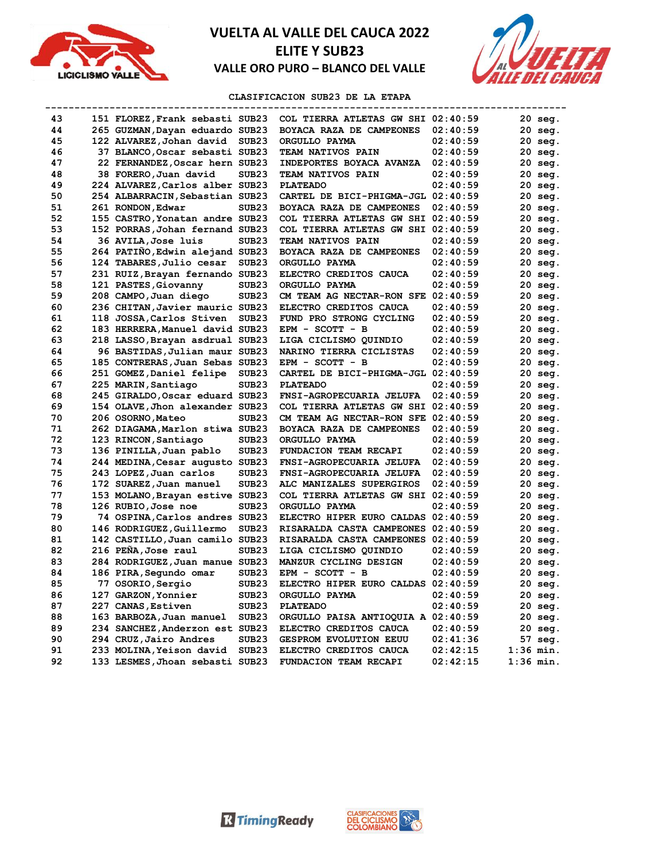



## **CLASIFICACION SUB23 DE LA ETAPA**

| -------- |                                 | -------------     |                                    |                      |             |
|----------|---------------------------------|-------------------|------------------------------------|----------------------|-------------|
| 43       | 151 FLOREZ, Frank sebasti SUB23 |                   | COL TIERRA ATLETAS GW SHI 02:40:59 |                      | 20 seg.     |
| 44       | 265 GUZMAN, Dayan eduardo SUB23 |                   | BOYACA RAZA DE CAMPEONES           | 02:40:59             | $20$ seg.   |
| 45       | 122 ALVAREZ, Johan david SUB23  |                   | ORGULLO PAYMA                      | 02:40:59             | 20 seg.     |
| 46       | 37 BLANCO, Oscar sebasti SUB23  |                   | <b>TEAM NATIVOS PAIN</b>           | 02:40:59             | $20$ seg.   |
| 47       | 22 FERNANDEZ, Oscar hern SUB23  |                   | <b>INDEPORTES BOYACA AVANZA</b>    | 02:40:59             | $20$ seg.   |
| 48       | 38 FORERO, Juan david           | SUB <sub>23</sub> | <b>TEAM NATIVOS PAIN</b>           | 02:40:59             | 20 seg.     |
| 49       | 224 ALVAREZ, Carlos alber SUB23 |                   | <b>PLATEADO</b>                    | 02:40:59             | 20 seg.     |
| 50       | 254 ALBARRACIN, Sebastian SUB23 |                   | CARTEL DE BICI-PHIGMA-JGL 02:40:59 |                      | 20 seg.     |
| 51       | 261 RONDON, Edwar               | SUB <sub>23</sub> | BOYACA RAZA DE CAMPEONES           | 02:40:59             | 20 seg.     |
| 52       | 155 CASTRO, Yonatan andre SUB23 |                   | COL TIERRA ATLETAS GW SHI 02:40:59 |                      | $20$ seq.   |
| 53       | 152 PORRAS, Johan fernand SUB23 |                   | COL TIERRA ATLETAS GW SHI 02:40:59 |                      | 20 seg.     |
| 54       | 36 AVILA, Jose luis             | SUB <sub>23</sub> | <b>TEAM NATIVOS PAIN</b>           | 02:40:59             | 20 seg.     |
| 55       | 264 PATINO, Edwin alejand SUB23 |                   | BOYACA RAZA DE CAMPEONES           | 02:40:59             | $20$ seg.   |
| 56       | 124 TABARES, Julio cesar        | SUB <sub>23</sub> | ORGULLO PAYMA                      | 02:40:59             | $20$ seg.   |
| 57       | 231 RUIZ, Brayan fernando SUB23 |                   | ELECTRO CREDITOS CAUCA             | 02:40:59             | 20 seg.     |
| 58       | 121 PASTES, Giovanny            | SUB <sub>23</sub> | ORGULLO PAYMA                      | 02:40:59             | 20 seg.     |
| 59       | 208 CAMPO, Juan diego           | SUB <sub>23</sub> | CM TEAM AG NECTAR-RON SFE 02:40:59 |                      | $20$ seq.   |
| 60       | 236 CHITAN, Javier mauric SUB23 |                   | ELECTRO CREDITOS CAUCA             | 02:40:59             | 20 seg.     |
| 61       | 118 JOSSA, Carlos Stiven        | SUB <sub>23</sub> | FUND PRO STRONG CYCLING            | 02:40:59             | 20 seg.     |
| 62       |                                 |                   |                                    |                      |             |
| 63       | 183 HERRERA, Manuel david SUB23 |                   | $EPM - SCOTT - B$                  | 02:40:59<br>02:40:59 | 20 seg.     |
|          | 218 LASSO, Brayan asdrual SUB23 |                   | LIGA CICLISMO QUINDIO              |                      | 20 seg.     |
| 64       | 96 BASTIDAS, Julian maur SUB23  |                   | NARINO TIERRA CICLISTAS            | 02:40:59             | $20$ seg.   |
| 65       | 185 CONTRERAS, Juan Sebas SUB23 |                   | EPM - SCOTT - B                    | 02:40:59             | 20 seg.     |
| 66       | 251 GOMEZ,Daniel felipe         | SUB <sub>23</sub> | CARTEL DE BICI-PHIGMA-JGL 02:40:59 |                      | 20 seg.     |
| 67       | 225 MARIN, Santiago             | SUB <sub>23</sub> | <b>PLATEADO</b>                    | 02:40:59             | $20$ seg.   |
| 68       | 245 GIRALDO, Oscar eduard SUB23 |                   | FNSI-AGROPECUARIA JELUFA           | 02:40:59             | 20 seg.     |
| 69       | 154 OLAVE, Jhon alexander SUB23 |                   | COL TIERRA ATLETAS GW SHI 02:40:59 |                      | $20$ seq.   |
| 70       | 206 OSORNO, Mateo               | SUB <sub>23</sub> | CM TEAM AG NECTAR-RON SFE 02:40:59 |                      | $20$ seg.   |
| 71       | 262 DIAGAMA, Marlon stiwa SUB23 |                   | BOYACA RAZA DE CAMPEONES           | 02:40:59             | 20 seg.     |
| 72       | 123 RINCON, Santiago            | SUB <sub>23</sub> | ORGULLO PAYMA                      | 02:40:59             | 20 seg.     |
| 73       | 136 PINILLA, Juan pablo         | SUB <sub>23</sub> | FUNDACION TEAM RECAPI              | 02:40:59             | $20$ seg.   |
| 74       | 244 MEDINA, Cesar augusto SUB23 |                   | FNSI-AGROPECUARIA JELUFA           | 02:40:59             | 20 seg.     |
| 75       | 243 LOPEZ, Juan carlos          | SUB <sub>23</sub> | FNSI-AGROPECUARIA JELUFA           | 02:40:59             | 20 seg.     |
| 76       | 172 SUAREZ, Juan manuel         | SUB <sub>23</sub> | ALC MANIZALES SUPERGIROS           | 02:40:59             | 20 seg.     |
| 77       | 153 MOLANO, Brayan estive SUB23 |                   | COL TIERRA ATLETAS GW SHI 02:40:59 |                      | 20 seg.     |
| 78       | 126 RUBIO, Jose noe             | SUB <sub>23</sub> | ORGULLO PAYMA                      | 02:40:59             | 20 seg.     |
| 79       | 74 OSPINA, Carlos andres SUB23  |                   | ELECTRO HIPER EURO CALDAS 02:40:59 |                      | 20 seg.     |
| 80       | 146 RODRIGUEZ, Guillermo        | SUB <sub>23</sub> | RISARALDA CASTA CAMPEONES 02:40:59 |                      | $20$ seq.   |
| 81       | 142 CASTILLO, Juan camilo SUB23 |                   | RISARALDA CASTA CAMPEONES 02:40:59 |                      | $20$ seg.   |
| 82       | 216 PENA, Jose raul             | SUB <sub>23</sub> | LIGA CICLISMO QUINDIO              | 02:40:59             | 20 seg.     |
| 83       | 284 RODRIGUEZ, Juan manue SUB23 |                   | MANZUR CYCLING DESIGN              | 02:40:59             | 20 seg.     |
| 84       | 186 PIRA, Segundo omar          | SUB <sub>23</sub> | EPM - SCOTT - B                    | 02:40:59             | 20 seg.     |
| 85       | 77 OSORIO, Sergio               | SUB <sub>23</sub> | ELECTRO HIPER EURO CALDAS 02:40:59 |                      | 20 seg.     |
| 86       | 127 GARZON, Yonnier             | SUB <sub>23</sub> | ORGULLO PAYMA                      | 02:40:59             | 20 seg.     |
| 87       | 227 CANAS, Estiven              | SUB <sub>23</sub> | <b>PLATEADO</b>                    | 02:40:59             | 20 seg.     |
| 88       | 163 BARBOZA, Juan manuel        | SUB <sub>23</sub> | ORGULLO PAISA ANTIOQUIA A 02:40:59 |                      | $20$ seg.   |
| 89       | 234 SANCHEZ, Anderzon est SUB23 |                   | ELECTRO CREDITOS CAUCA             | 02:40:59             | 20 seg.     |
| 90       | 294 CRUZ, Jairo Andres          | SUB <sub>23</sub> | <b>GESPROM EVOLUTION EEUU</b>      | 02:41:36             | 57 seg.     |
| 91       | 233 MOLINA,Yeison david         | SUB <sub>23</sub> | ELECTRO CREDITOS CAUCA             | 02:42:15             | $1:36$ min. |
| 92       | 133 LESMES, Jhoan sebasti SUB23 |                   | FUNDACION TEAM RECAPI              | 02:42:15             | $1:36$ min. |

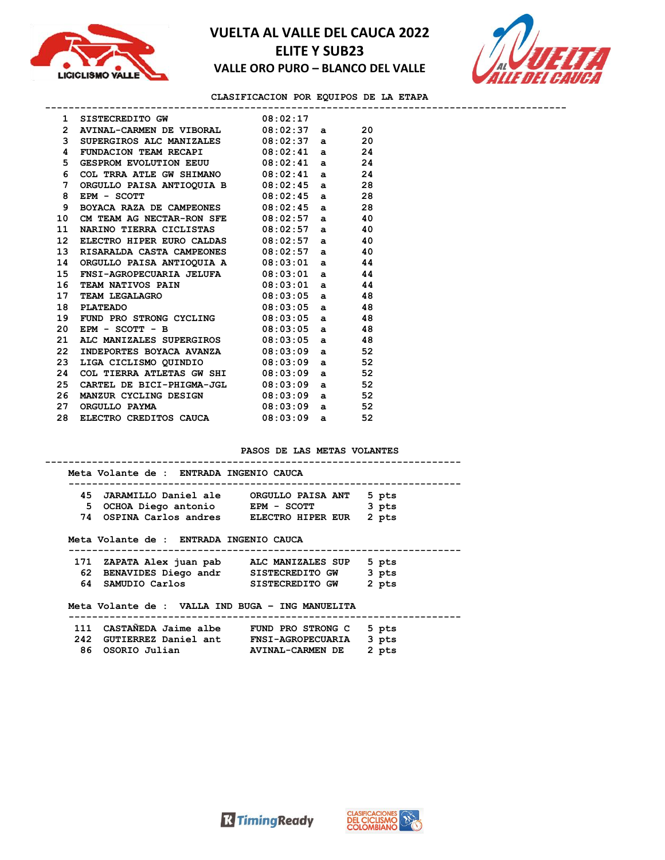



**CLASIFICACION POR EQUIPOS DE LA ETAPA**

|              | 1 SISTECREDITO GW $08:02:17$                                                                              |  |    |  |
|--------------|-----------------------------------------------------------------------------------------------------------|--|----|--|
|              | 2 AVINAL-CARMEN DE VIBORAL 08:02:37 a 20                                                                  |  |    |  |
| $\mathbf{3}$ | SUPERGIROS ALC MANIZALES 08:02:37 a                                                                       |  | 20 |  |
|              | 4 FUNDACION TEAM RECAPI 08:02:41 a                                                                        |  | 24 |  |
| $5 -$        | GESPROM EVOLUTION EEUU 08:02:41 a                                                                         |  | 24 |  |
|              | 6 COL TRRA ATLE GW SHIMANO $08:02:41$ a                                                                   |  | 24 |  |
| $7^{\circ}$  | ORGULLO PAISA ANTIOQUIA B 08:02:45 a                                                                      |  | 28 |  |
|              | $08:02:45$ a<br>8 EPM - SCOTT                                                                             |  | 28 |  |
| 9            | BOYACA RAZA DE CAMPEONES 08:02:45 a                                                                       |  | 28 |  |
| 10           | CM TEAM AG NECTAR-RON SFE $08:02:57$ a 40                                                                 |  |    |  |
| 11           | NARINO TIERRA CICLISTAS 08:02:57 a 40                                                                     |  |    |  |
| 12           | ELECTRO HIPER EURO CALDAS 08:02:57 a                                                                      |  | 40 |  |
|              | 13 RISARALDA CASTA CAMPEONES 08:02:57 a 40                                                                |  |    |  |
| 14           | ORGULLO PAISA ANTIOQUIA A 08:03:01 a 44                                                                   |  |    |  |
| 15           | $\texttt{FNSI-AGROPECUARIA}\;\; \texttt{JELUFA} \qquad \qquad 08:03:01 \quad \texttt{a} \qquad \qquad 44$ |  |    |  |
| 16           |                                                                                                           |  |    |  |
| 17           | TEAM NATIVOS PAIN $08:03:01$ a $44$<br>TEAM LEGALAGRO $08:03:05$ a $48$<br>PLATEADO $08:03:05$ a $48$     |  |    |  |
| 18           |                                                                                                           |  |    |  |
|              | 19 FUND PRO STRONG CYCLING 08:03:05 a 48<br>20 EPM - SCOTT - B 08:03:05 a 48                              |  |    |  |
|              |                                                                                                           |  |    |  |
|              | 21 ALC MANIZALES SUPERGIROS 08:03:05 a 48                                                                 |  |    |  |
| 22           | INDEPORTES BOYACA AVANZA 08:03:09 a                                                                       |  | 52 |  |
|              | 23 LIGA CICLISMO QUINDIO 08:03:09 a                                                                       |  | 52 |  |
|              | 24 COL TIERRA ATLETAS GW SHI 08:03:09 a                                                                   |  | 52 |  |
|              | 25 CARTEL DE BICI-PHIGMA-JGL 08:03:09 a                                                                   |  | 52 |  |
| 26           | MANZUR CYCLING DESIGN 08:03:09 a                                                                          |  | 52 |  |
| 27           | ORGULLO PAYMA 08:03:09 a 52                                                                               |  |    |  |
| 28           | ELECTRO CREDITOS CAUCA 08:03:09 a                                                                         |  | 52 |  |

#### **PASOS DE LAS METAS VOLANTES**

| Meta Volante de : ENTRADA INGENIO CAUCA          |                         |       |
|--------------------------------------------------|-------------------------|-------|
| 45 JARAMILLO Daniel ale ORGULLO PAISA ANT        |                         | 5 pts |
| 5 OCHOA Diego antonio EPM - SCOTT                |                         | 3 pts |
| 74 OSPINA Carlos andres ELECTRO HIPER EUR        |                         | 2 pts |
| Meta Volante de : ENTRADA INGENIO CAUCA          |                         |       |
| 171 ZAPATA Alex juan pab ALC MANIZALES SUP       |                         | 5 pts |
| 62 BENAVIDES Diego andr SISTECREDITO GW          |                         | 3 pts |
| 64 SAMUDIO Carlos                                | SISTECREDITO GW         | 2 pts |
| Meta Volante de : VALLA IND BUGA - ING MANUELITA |                         |       |
| 111 CASTANEDA Jaime albe - FUND PRO STRONG C     |                         | 5 pts |
| 242 GUTIERREZ Daniel ant FNSI-AGROPECUARIA       |                         | 3 pts |
| 86 OSORIO Julian                                 | <b>AVINAL-CARMEN DE</b> | 2 pts |

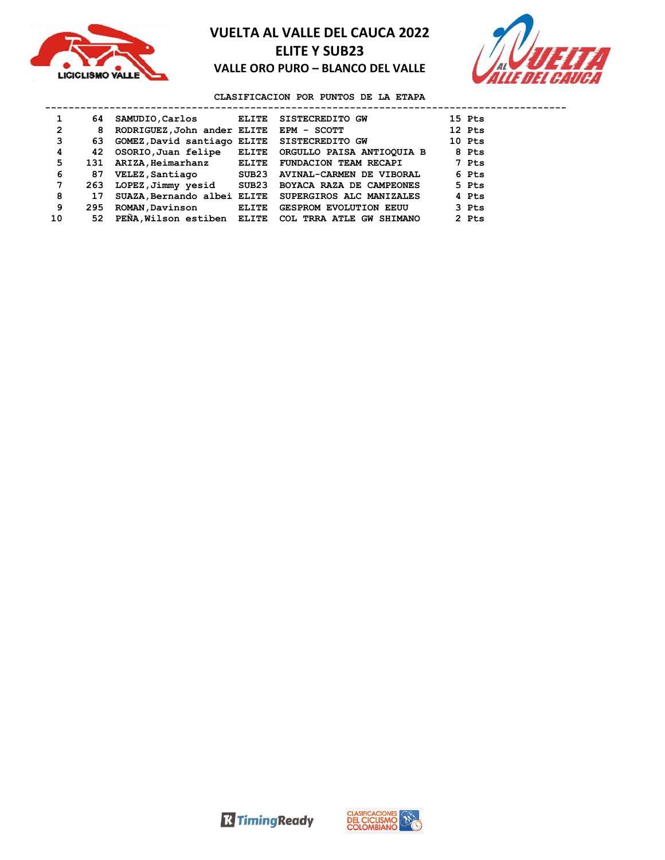



## **CLASIFICACION POR PUNTOS DE LA ETAPA**

|    | 64  | SAMUDIO, Carlos                             | ELITE | SISTECREDITO GW                                     | 15 Pts |
|----|-----|---------------------------------------------|-------|-----------------------------------------------------|--------|
| 2  | 8   | RODRIGUEZ, John ander ELITE EPM - SCOTT     |       |                                                     | 12 Pts |
| 3  | 63  | GOMEZ, David santiago ELITE SISTECREDITO GW |       |                                                     | 10 Pts |
| 4  | 42  | OSORIO, Juan felipe                         | ELITE | ORGULLO PAISA ANTIOQUIA B                           | 8 Pts  |
| 5  | 131 | ARIZA, Heimarhanz                           | ELITE | <b>FUNDACION TEAM RECAPI</b>                        | 7 Pts  |
| 6  | 87  | VELEZ, Santiago                             | SUB23 | AVINAL-CARMEN DE VIBORAL                            | 6 Pts  |
| 7  | 263 | LOPEZ,Jimmy yesid                           | SUB23 | BOYACA RAZA DE CAMPEONES                            | 5 Pts  |
| 8  | 17  | SUAZA, Bernando albei ELITE                 |       | SUPERGIROS ALC MANIZALES                            | 4 Pts  |
| 9  | 295 | ROMAN, Davinson                             | ELITE | <b>GESPROM EVOLUTION EEUU</b>                       | 3 Pts  |
| 10 | 52  |                                             |       | PEÑA, Wilson estiben ELITE COL TRRA ATLE GW SHIMANO | 2 Pts  |



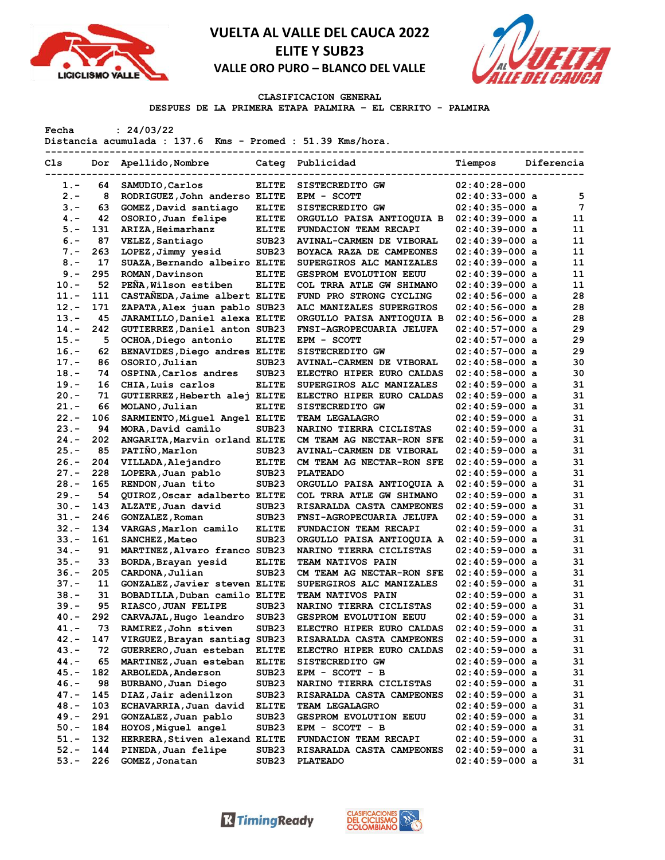



#### **CLASIFICACION GENERAL**

**DESPUES DE LA PRIMERA ETAPA PALMIRA – EL CERRITO - PALMIRA**

**Fecha : 24/03/22**

**Distancia acumulada : 137.6 Kms - Promed : 51.39 Kms/hora.**

| Cls                | Dor       | Apellido, Nombre              |                   | Categ Publicidad                | Tiempos          | Diferencia     |
|--------------------|-----------|-------------------------------|-------------------|---------------------------------|------------------|----------------|
| $1. -$             | 64        | SAMUDIO, Carlos               | <b>ELITE</b>      | SISTECREDITO GW                 | $02:40:28-000$   |                |
| $2 -$              | 8         | RODRIGUEZ, John anderso ELITE |                   | EPM - SCOTT                     | $02:40:33-000$ a | 5              |
| $3 -$              | 63        | GOMEZ, David santiago         | <b>ELITE</b>      | SISTECREDITO GW                 | $02:40:35-000$ a | $\overline{7}$ |
| $4. -$             | 42        | OSORIO, Juan felipe           | <b>ELITE</b>      | ORGULLO PAISA ANTIOQUIA B       | $02:40:39-000$ a | 11             |
| 5.-                | 131       | ARIZA, Heimarhanz             | <b>ELITE</b>      | <b>FUNDACION TEAM RECAPI</b>    | $02:40:39-000$ a | 11             |
| $6. -$             | 87        | VELEZ, Santiago               | SUB <sub>23</sub> | <b>AVINAL-CARMEN DE VIBORAL</b> | $02:40:39-000$ a | 11             |
| $7 -$              | 263       | LOPEZ, Jimmy yesid            | SUB <sub>23</sub> | BOYACA RAZA DE CAMPEONES        | $02:40:39-000$ a | 11             |
| $8 -$              | 17        | SUAZA, Bernando albeiro ELITE |                   | SUPERGIROS ALC MANIZALES        | $02:40:39-000$ a | 11             |
| $9. -$             | 295       | ROMAN, Davinson               | <b>ELITE</b>      | <b>GESPROM EVOLUTION EEUU</b>   | 02:40:39-000 a   | 11             |
| $10. -$            | 52        | PEÑA, Wilson estiben          | <b>ELITE</b>      | COL TRRA ATLE GW SHIMANO        | 02:40:39-000 a   | 11             |
| 11.-               | 111       | CASTAÑEDA, Jaime albert ELITE |                   | FUND PRO STRONG CYCLING         | $02:40:56-000$ a | 28             |
| $12 -$             | 171       | ZAPATA, Alex juan pablo SUB23 |                   | ALC MANIZALES SUPERGIROS        | $02:40:56-000$ a | 28             |
| $13 -$             | 45        | JARAMILLO, Daniel alexa ELITE |                   | ORGULLO PAISA ANTIOQUIA B       | $02:40:56-000$ a | 28             |
| $14. -$            | 242       | GUTIERREZ, Daniel anton SUB23 |                   | FNSI-AGROPECUARIA JELUFA        | $02:40:57-000$ a | 29             |
| $15. -$            | 5         | OCHOA, Diego antonio          | <b>ELITE</b>      | EPM - SCOTT                     | 02:40:57-000 a   | 29             |
| $16. -$            | 62        | BENAVIDES, Diego andres ELITE |                   | SISTECREDITO GW                 | $02:40:57-000$ a | 29             |
| $17. -$            | 86        | OSORIO, Julian                | SUB <sub>23</sub> | AVINAL-CARMEN DE VIBORAL        | $02:40:58-000$ a | 30             |
| $18. -$            | 74        | OSPINA, Carlos andres         | SUB23             | ELECTRO HIPER EURO CALDAS       | $02:40:58-000$ a | 30             |
| $19. -$            | 16        | CHIA, Luis carlos             | <b>ELITE</b>      | SUPERGIROS ALC MANIZALES        | $02:40:59-000$ a | 31             |
| $20. -$            | 71        | GUTIERREZ, Heberth alej ELITE |                   | ELECTRO HIPER EURO CALDAS       | $02:40:59-000$ a | 31             |
| $21 -$             | 66        | MOLANO, Julian                | <b>ELITE</b>      | SISTECREDITO GW                 | $02:40:59-000$ a | 31             |
| $22 -$             | 106       | SARMIENTO, Miguel Angel ELITE |                   | <b>TEAM LEGALAGRO</b>           | 02:40:59-000 a   | 31             |
| $23 -$             | 94        | MORA, David camilo            | SUB23             | NARINO TIERRA CICLISTAS         | $02:40:59-000$ a | 31             |
| $24. -$            | 202       | ANGARITA, Marvin orland ELITE |                   | CM TEAM AG NECTAR-RON SFE       | $02:40:59-000$ a | 31             |
| $25. -$            | 85        | PATIÑO, Marlon                | SUB23             | AVINAL-CARMEN DE VIBORAL        | 02:40:59-000 a   | 31             |
| $26. -$            | 204       | VILLADA, Alejandro            | <b>ELITE</b>      | CM TEAM AG NECTAR-RON SFE       | $02:40:59-000$ a | 31             |
| $27. -$            | 228       | LOPERA, Juan pablo            | SUB <sub>23</sub> | <b>PLATEADO</b>                 | 02:40:59-000 a   | 31             |
| $28 -$             | 165       | RENDON, Juan tito             | SUB23             | ORGULLO PAISA ANTIOQUIA A       | $02:40:59-000$ a | 31             |
| $29. -$            | 54        | QUIROZ, Oscar adalberto ELITE |                   | COL TRRA ATLE GW SHIMANO        | 02:40:59-000 a   | 31             |
| $30 -$             | 143       | ALZATE, Juan david            | SUB23             | RISARALDA CASTA CAMPEONES       | $02:40:59-000$ a | 31             |
| $31 -$             | 246       | GONZALEZ, Roman               | SUB <sub>23</sub> | FNSI-AGROPECUARIA JELUFA        | $02:40:59-000$ a | 31             |
| $32 -$             | 134       | VARGAS, Marlon camilo         | <b>ELITE</b>      | FUNDACION TEAM RECAPI           | 02:40:59-000 a   | 31             |
| $33 -$             | 161       | SANCHEZ, Mateo                | SUB23             | ORGULLO PAISA ANTIOQUIA A       | $02:40:59-000$ a | 31             |
| $34. -$            | 91        | MARTINEZ, Alvaro franco SUB23 |                   | NARINO TIERRA CICLISTAS         | $02:40:59-000$ a | 31             |
| $35 -$             | 33        | BORDA, Brayan yesid           | <b>ELITE</b>      | TEAM NATIVOS PAIN               | $02:40:59-000$ a | 31             |
| $36. -$            | 205       | CARDONA, Julian               | SUB23             | CM TEAM AG NECTAR-RON SFE       | $02:40:59-000$ a | 31             |
| $37 -$             | 11        | GONZALEZ, Javier steven ELITE |                   | SUPERGIROS ALC MANIZALES        | $02:40:59-000$ a | 31             |
| $38. -$            | 31        | BOBADILLA, Duban camilo ELITE |                   | TEAM NATIVOS PAIN               | $02:40:59-000$ a | 31             |
| $39. -$            | 95        | RIASCO, JUAN FELIPE           | SUB23             | NARINO TIERRA CICLISTAS         | $02:40:59-000$ a | 31             |
| $40 -$             | 292       | CARVAJAL, Hugo leandro        | SUB23             | <b>GESPROM EVOLUTION EEUU</b>   | $02:40:59-000$ a | 31             |
| $41. -$            | 73        | RAMIREZ, John stiven          | SUB23             | ELECTRO HIPER EURO CALDAS       | $02:40:59-000$ a | 31             |
| $42 -$             | 147       | VIRGUEZ, Brayan santiag SUB23 |                   | RISARALDA CASTA CAMPEONES       | $02:40:59-000$ a | 31             |
| 43.-               | 72        | GUERRERO, Juan esteban        | <b>ELITE</b>      | ELECTRO HIPER EURO CALDAS       | $02:40:59-000$ a | 31             |
| $44. -$            | 65        | MARTINEZ, Juan esteban        | <b>ELITE</b>      |                                 | $02:40:59-000$ a | 31             |
|                    |           |                               |                   | SISTECREDITO GW                 |                  |                |
| $45. -$<br>$46. -$ | 182<br>98 | ARBOLEDA, Anderson            | SUB23             | $EPM - SCOTT - B$               | $02:40:59-000$ a | 31             |
|                    |           | BURBANO, Juan Diego           | SUB <sub>23</sub> | NARINO TIERRA CICLISTAS         | $02:40:59-000$ a | 31             |
| $47. -$            | 145       | DIAZ, Jair adenilzon          | SUB23             | RISARALDA CASTA CAMPEONES       | $02:40:59-000$ a | 31             |
| $48. -$            | 103       | ECHAVARRIA, Juan david        | <b>ELITE</b>      | TEAM LEGALAGRO                  | $02:40:59-000$ a | 31             |
| $49. -$            | 291       | GONZALEZ, Juan pablo          | SUB23             | GESPROM EVOLUTION EEUU          | $02:40:59-000$ a | 31             |
| $50. -$            | 184       | HOYOS, Miquel angel           | SUB23             | $EPM - SCOTT - B$               | $02:40:59-000$ a | 31             |
| $51. -$            | 132       | HERRERA, Stiven alexand ELITE |                   | FUNDACION TEAM RECAPI           | $02:40:59-000$ a | 31             |
| $52 -$             | 144       | PINEDA, Juan felipe           | SUB23             | RISARALDA CASTA CAMPEONES       | $02:40:59-000$ a | 31             |
| $53. -$            | 226       | GOMEZ, Jonatan                | SUB23             | <b>PLATEADO</b>                 | $02:40:59-000$ a | 31             |



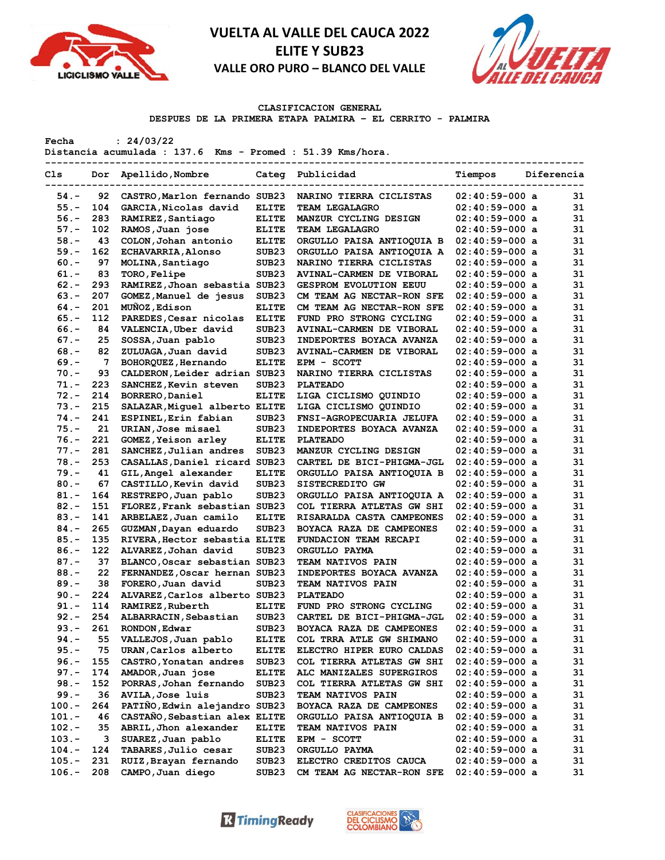



### **CLASIFICACION GENERAL**

**DESPUES DE LA PRIMERA ETAPA PALMIRA – EL CERRITO - PALMIRA**

**Fecha : 24/03/22**

**Distancia acumulada : 137.6 Kms - Promed : 51.39 Kms/hora. --------------------------------------------------------------------------------------------**

| Cls      | Dor | Apellido, Nombre              | Categ             | Publicidad                      | Tiempos          | Diferencia |
|----------|-----|-------------------------------|-------------------|---------------------------------|------------------|------------|
| $54. -$  | 92  | CASTRO, Marlon fernando SUB23 |                   | NARINO TIERRA CICLISTAS         | $02:40:59-000$ a | 31         |
| $55. -$  | 104 | GARCIA, Nicolas david         | <b>ELITE</b>      | TEAM LEGALAGRO                  | $02:40:59-000$ a | 31         |
| $56. -$  | 283 | RAMIREZ, Santiago             | <b>ELITE</b>      | MANZUR CYCLING DESIGN           | $02:40:59-000$ a | 31         |
| $57. -$  | 102 | RAMOS, Juan jose              | <b>ELITE</b>      | <b>TEAM LEGALAGRO</b>           | $02:40:59-000$ a | 31         |
| $58. -$  | 43  | COLON, Johan antonio          | <b>ELITE</b>      | ORGULLO PAISA ANTIOQUIA B       | $02:40:59-000$ a | 31         |
| $59. -$  | 162 | ECHAVARRIA, Alonso            | SUB <sub>23</sub> | ORGULLO PAISA ANTIOQUIA A       | $02:40:59-000$ a | 31         |
| $60 -$   | 97  | MOLINA, Santiago              | SUB <sub>23</sub> | NARINO TIERRA CICLISTAS         | $02:40:59-000$ a | 31         |
| $61 -$   | 83  | TORO, Felipe                  | SUB <sub>23</sub> | <b>AVINAL-CARMEN DE VIBORAL</b> | $02:40:59-000$ a | 31         |
| $62 -$   | 293 | RAMIREZ, Jhoan sebastia SUB23 |                   | <b>GESPROM EVOLUTION EEUU</b>   | $02:40:59-000$ a | 31         |
| $63 -$   | 207 | GOMEZ, Manuel de jesus        | SUB <sub>23</sub> | CM TEAM AG NECTAR-RON SFE       | $02:40:59-000$ a | 31         |
| $64. -$  | 201 | MUÑOZ, Edison                 | <b>ELITE</b>      | CM TEAM AG NECTAR-RON SFE       | $02:40:59-000$ a | 31         |
| $65. -$  | 112 | PAREDES, Cesar nicolas        | <b>ELITE</b>      | FUND PRO STRONG CYCLING         | $02:40:59-000$ a | 31         |
| $66. -$  | 84  | VALENCIA, Uber david          | SUB <sub>23</sub> | <b>AVINAL-CARMEN DE VIBORAL</b> | $02:40:59-000$ a | 31         |
| $67. -$  | 25  | SOSSA, Juan pablo             | SUB <sub>23</sub> | INDEPORTES BOYACA AVANZA        | $02:40:59-000$ a | 31         |
| $68 -$   | 82  | ZULUAGA, Juan david           | SUB <sub>23</sub> | AVINAL-CARMEN DE VIBORAL        | $02:40:59-000$ a | 31         |
| $69. -$  | 7   | BOHORQUEZ, Hernando           | <b>ELITE</b>      | EPM - SCOTT                     | $02:40:59-000$ a | 31         |
| $70. -$  | 93  | CALDERON, Leider adrian SUB23 |                   | NARINO TIERRA CICLISTAS         | $02:40:59-000$ a | 31         |
| 71.-     | 223 | SANCHEZ, Kevin steven         | SUB <sub>23</sub> | <b>PLATEADO</b>                 | $02:40:59-000$ a | 31         |
| $72 -$   | 214 | BORRERO, Daniel               | <b>ELITE</b>      | LIGA CICLISMO QUINDIO           | $02:40:59-000$ a | 31         |
| $73. -$  | 215 | SALAZAR, Miquel alberto ELITE |                   | LIGA CICLISMO QUINDIO           | $02:40:59-000$ a | 31         |
| $74. -$  | 241 | ESPINEL, Erin fabian          | SUB <sub>23</sub> | FNSI-AGROPECUARIA JELUFA        | $02:40:59-000$ a | 31         |
| $75. -$  | 21  | URIAN, Jose misael            | SUB <sub>23</sub> | INDEPORTES BOYACA AVANZA        | $02:40:59-000$ a | 31         |
| $76. -$  | 221 | GOMEZ, Yeison arley           | <b>ELITE</b>      | <b>PLATEADO</b>                 | $02:40:59-000$ a | 31         |
| $77. -$  | 281 | SANCHEZ, Julian andres        | SUB <sub>23</sub> | MANZUR CYCLING DESIGN           | $02:40:59-000$ a | 31         |
| $78. -$  | 253 | CASALLAS, Daniel ricard SUB23 |                   | CARTEL DE BICI-PHIGMA-JGL       | $02:40:59-000$ a | 31         |
| $79. -$  | 41  | GIL, Angel alexander          | <b>ELITE</b>      | ORGULLO PAISA ANTIOQUIA B       | $02:40:59-000$ a | 31         |
| $80 -$   | 67  | CASTILLO, Kevin david         | SUB <sub>23</sub> | SISTECREDITO GW                 | $02:40:59-000$ a | 31         |
| $81. -$  | 164 | RESTREPO, Juan pablo          | SUB <sub>23</sub> | ORGULLO PAISA ANTIOQUIA A       | $02:40:59-000$ a | 31         |
| $82 -$   | 151 | FLOREZ, Frank sebastian SUB23 |                   | COL TIERRA ATLETAS GW SHI       | $02:40:59-000$ a | 31         |
| $83 -$   | 141 | ARBELAEZ, Juan camilo         | <b>ELITE</b>      | RISARALDA CASTA CAMPEONES       | $02:40:59-000$ a | 31         |
| $84. -$  | 265 | GUZMAN, Dayan eduardo         | SUB <sub>23</sub> | BOYACA RAZA DE CAMPEONES        | $02:40:59-000$ a | 31         |
| $85. -$  | 135 | RIVERA, Hector sebastia ELITE |                   | FUNDACION TEAM RECAPI           | $02:40:59-000$ a | 31         |
| $86. -$  | 122 | ALVAREZ, Johan david          | SUB <sub>23</sub> | ORGULLO PAYMA                   | $02:40:59-000$ a | 31         |
| $87. -$  | 37  | BLANCO, Oscar sebastian SUB23 |                   | TEAM NATIVOS PAIN               | $02:40:59-000$ a | 31         |
| $88. -$  | 22  | FERNANDEZ, Oscar hernan SUB23 |                   | INDEPORTES BOYACA AVANZA        | $02:40:59-000$ a | 31         |
| 89.-     | 38  | FORERO, Juan david            | SUB <sub>23</sub> | TEAM NATIVOS PAIN               | $02:40:59-000$ a | 31         |
| $90 -$   | 224 | ALVAREZ, Carlos alberto SUB23 |                   | <b>PLATEADO</b>                 | $02:40:59-000$ a | 31         |
| $91 -$   | 114 | RAMIREZ, Ruberth              | <b>ELITE</b>      | FUND PRO STRONG CYCLING         | $02:40:59-000$ a | 31         |
| $92 -$   | 254 | ALBARRACIN, Sebastian         | SUB <sub>23</sub> | CARTEL DE BICI-PHIGMA-JGL       | $02:40:59-000$ a | 31         |
| $93 -$   | 261 | RONDON, Edwar                 | SUB <sub>23</sub> | BOYACA RAZA DE CAMPEONES        | $02:40:59-000$ a | 31         |
| $94. -$  | 55  | VALLEJOS, Juan pablo          | <b>ELITE</b>      | COL TRRA ATLE GW SHIMANO        | $02:40:59-000$ a | 31         |
| $95. -$  | 75  | URAN, Carlos alberto          | <b>ELITE</b>      | ELECTRO HIPER EURO CALDAS       | $02:40:59-000$ a | 31         |
| 96.-     | 155 | CASTRO, Yonatan andres        | SUB23             | COL TIERRA ATLETAS GW SHI       | $02:40:59-000$ a | 31         |
| $97. -$  | 174 | AMADOR, Juan jose             | <b>ELITE</b>      | ALC MANIZALES SUPERGIROS        | $02:40:59-000$ a | 31         |
| $98. -$  | 152 | PORRAS, Johan fernando        | SUB <sub>23</sub> | COL TIERRA ATLETAS GW SHI       | $02:40:59-000$ a | 31         |
| $99. -$  | 36  | <b>AVILA, Jose luis</b>       | SUB <sub>23</sub> | TEAM NATIVOS PAIN               | $02:40:59-000$ a | 31         |
| $100.-$  | 264 | PATIÑO, Edwin alejandro SUB23 |                   | BOYACA RAZA DE CAMPEONES        | $02:40:59-000$ a | 31         |
| $101. -$ | 46  | CASTAÑO, Sebastian alex ELITE |                   | ORGULLO PAISA ANTIOQUIA B       | $02:40:59-000$ a | 31         |
| $102 -$  | 35  | ABRIL, Jhon alexander         | <b>ELITE</b>      | <b>TEAM NATIVOS PAIN</b>        | $02:40:59-000$ a | 31         |
| $103. -$ | 3   | SUAREZ, Juan pablo            | <b>ELITE</b>      | EPM - SCOTT                     | $02:40:59-000$ a | 31         |
| $104. -$ | 124 | TABARES, Julio cesar          | SUB <sub>23</sub> | ORGULLO PAYMA                   | $02:40:59-000$ a | 31         |
| $105. -$ | 231 | RUIZ, Brayan fernando         | SUB <sub>23</sub> | ELECTRO CREDITOS CAUCA          | $02:40:59-000$ a | 31         |
| $106. -$ | 208 | CAMPO, Juan diego             | SUB <sub>23</sub> | CM TEAM AG NECTAR-RON SFE       | $02:40:59-000$ a | 31         |

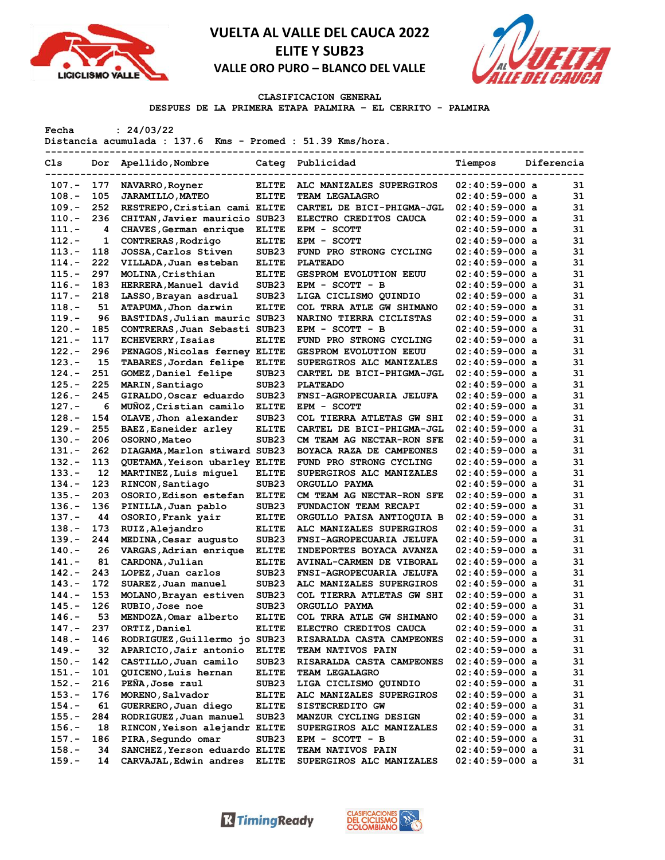



#### **CLASIFICACION GENERAL**

**DESPUES DE LA PRIMERA ETAPA PALMIRA – EL CERRITO - PALMIRA**

**Fecha : 24/03/22**

**Distancia acumulada : 137.6 Kms - Promed : 51.39 Kms/hora.**

| Cls      | Dor | Apellido, Nombre              |                   | Categ Publicidad                | Tiempos          | Diferencia |    |
|----------|-----|-------------------------------|-------------------|---------------------------------|------------------|------------|----|
| $107. -$ | 177 | NAVARRO, Royner               | <b>ELITE</b>      | ALC MANIZALES SUPERGIROS        | $02:40:59-000$ a |            | 31 |
| $108. -$ | 105 | <b>JARAMILLO, MATEO</b>       | <b>ELITE</b>      | TEAM LEGALAGRO                  | $02:40:59-000$ a |            | 31 |
| $109. -$ | 252 | RESTREPO, Cristian cami ELITE |                   | CARTEL DE BICI-PHIGMA-JGL       | $02:40:59-000$ a |            | 31 |
| $110. -$ | 236 | CHITAN, Javier mauricio SUB23 |                   | ELECTRO CREDITOS CAUCA          | $02:40:59-000$ a |            | 31 |
| $111. -$ | 4   | CHAVES, German enrique        | <b>ELITE</b>      | EPM - SCOTT                     | 02:40:59-000 a   |            | 31 |
| $112 -$  | 1   | CONTRERAS, Rodrigo            | <b>ELITE</b>      | EPM - SCOTT                     | $02:40:59-000$ a |            | 31 |
| $113 -$  | 118 | JOSSA, Carlos Stiven          | SUB <sub>23</sub> | FUND PRO STRONG CYCLING         | 02:40:59-000 a   |            | 31 |
| $114. -$ | 222 | VILLADA, Juan esteban         | <b>ELITE</b>      | <b>PLATEADO</b>                 | 02:40:59-000 a   |            | 31 |
| $115. -$ | 297 | MOLINA, Cristhian             | <b>ELITE</b>      | <b>GESPROM EVOLUTION EEUU</b>   | 02:40:59-000 a   |            | 31 |
| $116. -$ | 183 | HERRERA, Manuel david         | SUB <sub>23</sub> | EPM - SCOTT - B                 | $02:40:59-000$ a |            | 31 |
| $117. -$ | 218 | LASSO, Brayan asdrual         | SUB <sub>23</sub> | LIGA CICLISMO QUINDIO           | $02:40:59-000$ a |            | 31 |
| $118. -$ | 51  | ATAPUMA, Jhon darwin          | <b>ELITE</b>      | COL TRRA ATLE GW SHIMANO        | 02:40:59-000 a   |            | 31 |
| $119. -$ | 96  | BASTIDAS, Julian mauric SUB23 |                   | NARINO TIERRA CICLISTAS         | 02:40:59-000 a   |            | 31 |
|          | 185 | CONTRERAS, Juan Sebasti SUB23 |                   |                                 |                  |            | 31 |
| $120 -$  |     |                               |                   | EPM - SCOTT - B                 | 02:40:59-000 a   |            | 31 |
| $121 -$  | 117 | <b>ECHEVERRY, Isaias</b>      | <b>ELITE</b>      | FUND PRO STRONG CYCLING         | 02:40:59-000 a   |            |    |
| $122 -$  | 296 | PENAGOS, Nicolas ferney ELITE |                   | <b>GESPROM EVOLUTION EEUU</b>   | 02:40:59-000 a   |            | 31 |
| $123 -$  | 15  | TABARES, Jordan felipe        | <b>ELITE</b>      | SUPERGIROS ALC MANIZALES        | 02:40:59-000 a   |            | 31 |
| $124. -$ | 251 | GOMEZ, Daniel felipe          | SUB <sub>23</sub> | CARTEL DE BICI-PHIGMA-JGL       | $02:40:59-000$ a |            | 31 |
| $125 -$  | 225 | MARIN, Santiago               | SUB <sub>23</sub> | <b>PLATEADO</b>                 | 02:40:59-000 a   |            | 31 |
| $126. -$ | 245 | GIRALDO, Oscar eduardo        | SUB <sub>23</sub> | FNSI-AGROPECUARIA JELUFA        | $02:40:59-000$ a |            | 31 |
| $127. -$ | 6   | MUÑOZ, Cristian camilo        | <b>ELITE</b>      | EPM - SCOTT                     | $02:40:59-000$ a |            | 31 |
| $128 -$  | 154 | OLAVE, Jhon alexander         | SUB <sub>23</sub> | COL TIERRA ATLETAS GW SHI       | $02:40:59-000$ a |            | 31 |
| $129. -$ | 255 | BAEZ, Esneider arley          | <b>ELITE</b>      | CARTEL DE BICI-PHIGMA-JGL       | 02:40:59-000 a   |            | 31 |
| $130 -$  | 206 | OSORNO, Mateo                 | SUB23             | CM TEAM AG NECTAR-RON SFE       | $02:40:59-000$ a |            | 31 |
| $131 -$  | 262 | DIAGAMA, Marlon stiward SUB23 |                   | BOYACA RAZA DE CAMPEONES        | $02:40:59-000$ a |            | 31 |
| $132 -$  | 113 | QUETAMA, Yeison ubarley ELITE |                   | FUND PRO STRONG CYCLING         | 02:40:59-000 a   |            | 31 |
| $133 -$  | 12  | MARTINEZ, Luis miquel         | <b>ELITE</b>      | SUPERGIROS ALC MANIZALES        | 02:40:59-000 a   |            | 31 |
| $134. -$ | 123 | RINCON, Santiago              | SUB <sub>23</sub> | ORGULLO PAYMA                   | 02:40:59-000 a   |            | 31 |
| $135 -$  | 203 | OSORIO, Edison estefan        | <b>ELITE</b>      | CM TEAM AG NECTAR-RON SFE       | 02:40:59-000 a   |            | 31 |
| $136. -$ | 136 | PINILLA, Juan pablo           | SUB <sub>23</sub> | FUNDACION TEAM RECAPI           | 02:40:59-000 a   |            | 31 |
| $137 -$  | 44  | OSORIO, Frank yair            | <b>ELITE</b>      | ORGULLO PAISA ANTIOQUIA B       | $02:40:59-000$ a |            | 31 |
| $138 -$  | 173 | RUIZ, Alejandro               | <b>ELITE</b>      | ALC MANIZALES SUPERGIROS        | 02:40:59-000 a   |            | 31 |
| $139. -$ | 244 | MEDINA, Cesar augusto         | SUB <sub>23</sub> | FNSI-AGROPECUARIA JELUFA        | 02:40:59-000 a   |            | 31 |
| $140 -$  | 26  | VARGAS, Adrian enrique        | <b>ELITE</b>      | INDEPORTES BOYACA AVANZA        | $02:40:59-000$ a |            | 31 |
| $141. -$ | 81  | CARDONA, Julian               | <b>ELITE</b>      | <b>AVINAL-CARMEN DE VIBORAL</b> | $02:40:59-000$ a |            | 31 |
| $142 -$  | 243 | LOPEZ, Juan carlos            | SUB <sub>23</sub> | FNSI-AGROPECUARIA JELUFA        | $02:40:59-000$ a |            | 31 |
| $143. -$ | 172 | SUAREZ, Juan manuel           | SUB23             | ALC MANIZALES SUPERGIROS        | 02:40:59-000 a   |            | 31 |
| $144. -$ | 153 | MOLANO, Brayan estiven        | SUB23             | COL TIERRA ATLETAS GW SHI       | $02:40:59-000$ a |            | 31 |
| $145. -$ | 126 | RUBIO, Jose noe               | SUB <sub>23</sub> | ORGULLO PAYMA                   | 02:40:59-000 a   |            | 31 |
| $146. -$ | 53  | MENDOZA, Omar alberto         | <b>ELITE</b>      | COL TRRA ATLE GW SHIMANO        | 02:40:59-000 a   |            | 31 |
| $147. -$ | 237 | ORTIZ, Daniel                 | <b>ELITE</b>      | <b>ELECTRO CREDITOS CAUCA</b>   | 02:40:59-000 a   |            | 31 |
| 148.-    | 146 | RODRIGUEZ, Guillermo jo SUB23 |                   | RISARALDA CASTA CAMPEONES       | $02:40:59-000$ a |            | 31 |
| $149. -$ | 32  | APARICIO, Jair antonio        | <b>ELITE</b>      | TEAM NATIVOS PAIN               | $02:40:59-000$ a |            | 31 |
| $150 -$  | 142 | CASTILLO, Juan camilo         | SUB23             | RISARALDA CASTA CAMPEONES       | $02:40:59-000$ a |            | 31 |
| $151. -$ | 101 | QUICENO, Luis hernan          | <b>ELITE</b>      | TEAM LEGALAGRO                  | 02:40:59-000 a   |            | 31 |
| $152 -$  | 216 | PEÑA, Jose raul               | SUB <sub>23</sub> | LIGA CICLISMO QUINDIO           | 02:40:59-000 a   |            | 31 |
|          |     | MORENO, Salvador              |                   |                                 |                  |            |    |
| $153. -$ | 176 |                               | <b>ELITE</b>      | ALC MANIZALES SUPERGIROS        | 02:40:59-000 a   |            | 31 |
| $154. -$ | 61  | GUERRERO, Juan diego          | <b>ELITE</b>      | SISTECREDITO GW                 | 02:40:59-000 a   |            | 31 |
| $155. -$ | 284 | RODRIGUEZ, Juan manuel        | SUB <sub>23</sub> | MANZUR CYCLING DESIGN           | 02:40:59-000 a   |            | 31 |
| $156. -$ | 18  | RINCON, Yeison alejandr ELITE |                   | SUPERGIROS ALC MANIZALES        | 02:40:59-000 a   |            | 31 |
| $157. -$ | 186 | PIRA, Segundo omar            | SUB <sub>23</sub> | EPM - SCOTT - B                 | $02:40:59-000$ a |            | 31 |
| $158. -$ | 34  | SANCHEZ, Yerson eduardo ELITE |                   | <b>TEAM NATIVOS PAIN</b>        | 02:40:59-000 a   |            | 31 |
| $159. -$ | 14  | CARVAJAL, Edwin andres        | <b>ELITE</b>      | SUPERGIROS ALC MANIZALES        | 02:40:59-000 a   |            | 31 |



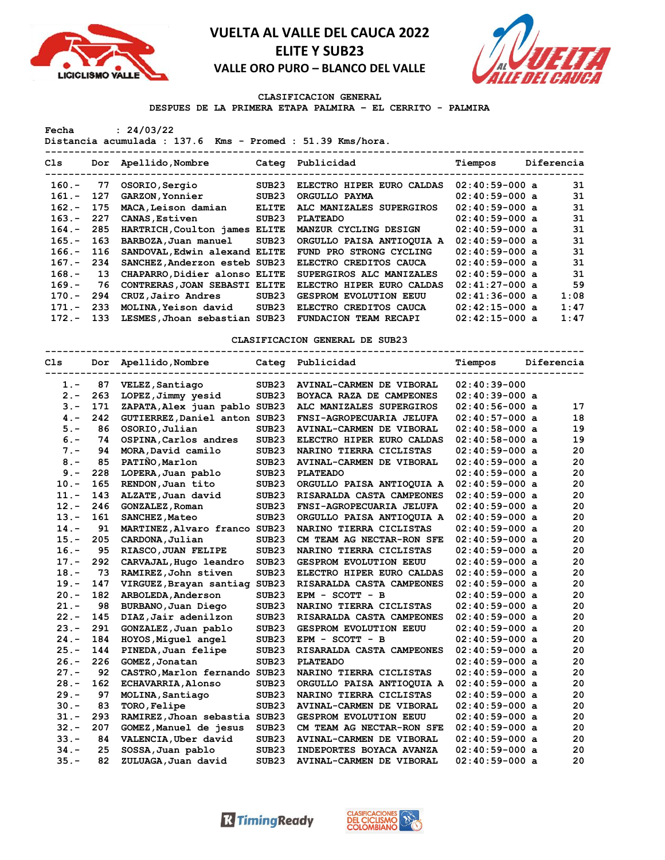



#### **CLASIFICACION GENERAL**

**DESPUES DE LA PRIMERA ETAPA PALMIRA – EL CERRITO - PALMIRA**

**Fecha : 24/03/22**

**Distancia acumulada : 137.6 Kms - Promed : 51.39 Kms/hora.**

| Cls      |      | Dor Apellido, Nombre          | Categ             | Publicidad                    | Tiempos          | Diferencia |      |
|----------|------|-------------------------------|-------------------|-------------------------------|------------------|------------|------|
| $160 -$  | 77   | OSORIO, Sergio                | SUB23             | ELECTRO HIPER EURO CALDAS     | $02:40:59-000$ a |            | 31   |
| $161. -$ | 127  | GARZON, Yonnier               | SUB23             | ORGULLO PAYMA                 | $02:40:59-000$ a |            | 31   |
| $162 -$  | 175  | MACA, Leison damian           | <b>ELITE</b>      | ALC MANIZALES SUPERGIROS      | $02:40:59-000$ a |            | 31   |
| $163 -$  | 227  | <b>CANAS, Estiven</b>         | SUB23             | <b>PLATEADO</b>               | $02:40:59-000$ a |            | 31   |
| $164. -$ | 285  | HARTRICH, Coulton james ELITE |                   | MANZUR CYCLING DESIGN         | $02:40:59-000$ a |            | 31   |
| $165. -$ | 163  | BARBOZA, Juan manuel          | SUB23             | ORGULLO PAISA ANTIOOUIA A     | $02:40:59-000$ a |            | 31   |
| $166. -$ | 116  | SANDOVAL, Edwin alexand ELITE |                   | FUND PRO STRONG CYCLING       | $02:40:59-000$ a |            | 31   |
| $167 -$  | 234  | SANCHEZ, Anderzon esteb SUB23 |                   | ELECTRO CREDITOS CAUCA        | $02:40:59-000$ a |            | 31   |
| $168. -$ | 13   | CHAPARRO, Didier alonso ELITE |                   | SUPERGIROS ALC MANIZALES      | $02:40:59-000$ a |            | 31   |
| $169. -$ | 76   | CONTRERAS, JOAN SEBASTI ELITE |                   | ELECTRO HIPER EURO CALDAS     | $02:41:27-000$ a |            | 59   |
| $170 -$  | 294  | CRUZ, Jairo Andres            | SUB23             | <b>GESPROM EVOLUTION EEUU</b> | $02:41:36-000$ a |            | 1:08 |
| $171. -$ | -233 | MOLINA, Yeison david          | SUB <sub>23</sub> | ELECTRO CREDITOS CAUCA        | $02:42:15-000$ a |            | 1:47 |
| $172 -$  | 133  | LESMES, Jhoan sebastian       | SUB <sub>23</sub> | FUNDACION TEAM RECAPI         | $02:42:15-000$ a |            | 1:47 |
|          |      |                               |                   |                               |                  |            |      |

**CLASIFICACION GENERAL DE SUB23**

| C1s     |     | Dor Apellido, Nombre          |                   | Categ Publicidad              | Tiempos          | Diferencia |    |
|---------|-----|-------------------------------|-------------------|-------------------------------|------------------|------------|----|
| $1 -$   | 87  | VELEZ, Santiago               | SUB <sub>23</sub> | AVINAL-CARMEN DE VIBORAL      | $02:40:39-000$   |            |    |
| $2 -$   | 263 | LOPEZ, Jimmy yesid            | SUB23             | BOYACA RAZA DE CAMPEONES      | $02:40:39-000$ a |            |    |
| $3 -$   | 171 | ZAPATA, Alex juan pablo SUB23 |                   | ALC MANIZALES SUPERGIROS      | $02:40:56-000$ a |            | 17 |
| $4 -$   | 242 | GUTIERREZ, Daniel anton SUB23 |                   | FNSI-AGROPECUARIA JELUFA      | $02:40:57-000$ a |            | 18 |
| $5. -$  | 86  | OSORIO, Julian                | SUB23             | AVINAL-CARMEN DE VIBORAL      | $02:40:58-000$ a |            | 19 |
| $6. -$  | 74  | OSPINA, Carlos andres         | SUB <sub>23</sub> | ELECTRO HIPER EURO CALDAS     | $02:40:58-000$ a |            | 19 |
| $7 -$   | 94  | MORA, David camilo            | SUB23             | NARINO TIERRA CICLISTAS       | $02:40:59-000$ a |            | 20 |
| $8 -$   | 85  | PATINO, Marlon                | SUB23             | AVINAL-CARMEN DE VIBORAL      | $02:40:59-000$ a |            | 20 |
| $9 -$   | 228 | LOPERA, Juan pablo            | SUB <sub>23</sub> | <b>PLATEADO</b>               | $02:40:59-000$ a |            | 20 |
| $10. -$ | 165 | RENDON, Juan tito             | SUB <sub>23</sub> | ORGULLO PAISA ANTIOQUIA A     | $02:40:59-000$ a |            | 20 |
| $11. -$ | 143 | ALZATE, Juan david            | SUB <sub>23</sub> | RISARALDA CASTA CAMPEONES     | $02:40:59-000$ a |            | 20 |
| $12 -$  | 246 | GONZALEZ, Roman               | SUB23             | FNSI-AGROPECUARIA JELUFA      | $02:40:59-000$ a |            | 20 |
| $13 -$  | 161 | SANCHEZ, Mateo                | SUB <sub>23</sub> | ORGULLO PAISA ANTIOQUIA A     | $02:40:59-000$ a |            | 20 |
| $14. -$ | 91  | MARTINEZ, Alvaro franco       | SUB <sub>23</sub> | NARINO TIERRA CICLISTAS       | $02:40:59-000$ a |            | 20 |
| $15. -$ | 205 | CARDONA, Julian               | SUB23             | CM TEAM AG NECTAR-RON SFE     | $02:40:59-000$ a |            | 20 |
| $16. -$ | 95  | RIASCO, JUAN FELIPE           | SUB <sub>23</sub> | NARINO TIERRA CICLISTAS       | $02:40:59-000$ a |            | 20 |
| $17. -$ | 292 | CARVAJAL, Hugo leandro        | SUB <sub>23</sub> | <b>GESPROM EVOLUTION EEUU</b> | $02:40:59-000$ a |            | 20 |
| $18. -$ | 73  | RAMIREZ, John stiven          | SUB <sub>23</sub> | ELECTRO HIPER EURO CALDAS     | $02:40:59-000$ a |            | 20 |
| $19. -$ | 147 | VIRGUEZ, Brayan santiag       | SUB <sub>23</sub> | RISARALDA CASTA CAMPEONES     | $02:40:59-000$ a |            | 20 |
| $20 -$  | 182 | ARBOLEDA, Anderson            | SUB <sub>23</sub> | $EPM - SCOTT - B$             | $02:40:59-000$ a |            | 20 |
| $21 -$  | 98  | BURBANO, Juan Diego           | SUB <sub>23</sub> | NARINO TIERRA CICLISTAS       | $02:40:59-000$ a |            | 20 |
| $22 -$  | 145 | DIAZ, Jair adenilzon          | SUB <sub>23</sub> | RISARALDA CASTA CAMPEONES     | $02:40:59-000$ a |            | 20 |
| $23 -$  | 291 | GONZALEZ, Juan pablo          | SUB23             | <b>GESPROM EVOLUTION EEUU</b> | 02:40:59-000 a   |            | 20 |
| $24. -$ | 184 | HOYOS, Miquel angel           | SUB <sub>23</sub> | EPM - SCOTT - B               | $02:40:59-000$ a |            | 20 |
| $25. -$ | 144 | PINEDA, Juan felipe           | SUB23             | RISARALDA CASTA CAMPEONES     | $02:40:59-000$ a |            | 20 |
| $26. -$ | 226 | GOMEZ, Jonatan                | SUB <sub>23</sub> | <b>PLATEADO</b>               | $02:40:59-000$ a |            | 20 |
| $27. -$ | 92  | CASTRO, Marlon fernando SUB23 |                   | NARINO TIERRA CICLISTAS       | $02:40:59-000$ a |            | 20 |
| $28 -$  | 162 | ECHAVARRIA, Alonso            | SUB <sub>23</sub> | ORGULLO PAISA ANTIOQUIA A     | $02:40:59-000$ a |            | 20 |
| $29. -$ | 97  | MOLINA, Santiago              | SUB <sub>23</sub> | NARINO TIERRA CICLISTAS       | $02:40:59-000$ a |            | 20 |
| $30 -$  | 83  | TORO, Felipe                  | SUB <sub>23</sub> | AVINAL-CARMEN DE VIBORAL      | $02:40:59-000$ a |            | 20 |
| $31 -$  | 293 | RAMIREZ, Jhoan sebastia SUB23 |                   | <b>GESPROM EVOLUTION EEUU</b> | $02:40:59-000$ a |            | 20 |
| $32 -$  | 207 | GOMEZ, Manuel de jesus        | SUB <sub>23</sub> | CM TEAM AG NECTAR-RON SFE     | $02:40:59-000$ a |            | 20 |
| $33 -$  | 84  | VALENCIA, Uber david          | SUB <sub>23</sub> | AVINAL-CARMEN DE VIBORAL      | $02:40:59-000$ a |            | 20 |
| $34. -$ | 25  | SOSSA, Juan pablo             | SUB <sub>23</sub> | INDEPORTES BOYACA AVANZA      | $02:40:59-000$ a |            | 20 |
| $35. -$ | 82  | ZULUAGA, Juan david           | SUB <sub>23</sub> | AVINAL-CARMEN DE VIBORAL      | $02:40:59-000$ a |            | 20 |

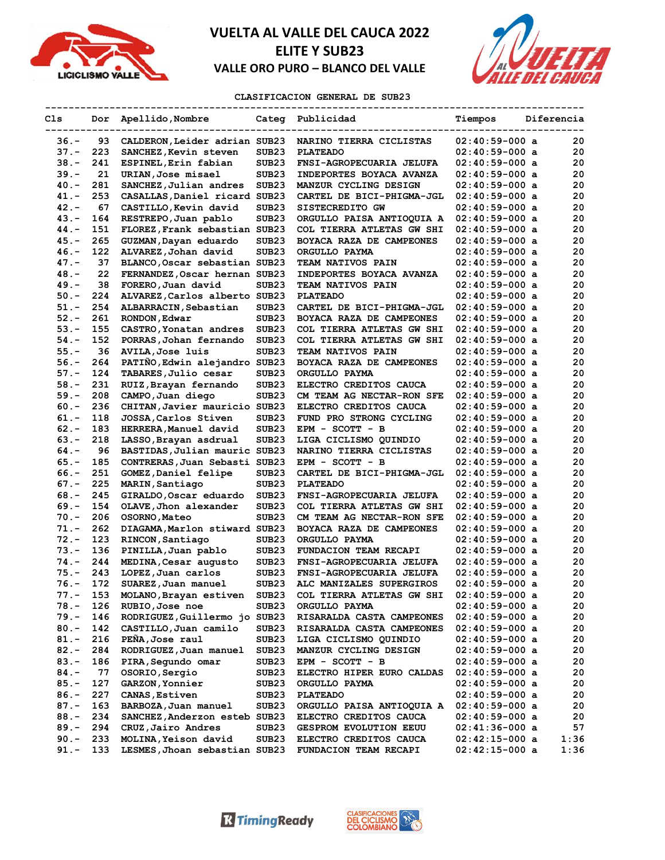



#### **CLASIFICACION GENERAL DE SUB23**

| Cls     |     | Dor Apellido, Nombre          |                   | Categ Publicidad              | Tiempos          |  | Diferencia |
|---------|-----|-------------------------------|-------------------|-------------------------------|------------------|--|------------|
| 36.-    | 93  | CALDERON, Leider adrian SUB23 |                   | NARINO TIERRA CICLISTAS       | $02:40:59-000$ a |  | 20         |
| 37.-    | 223 | SANCHEZ, Kevin steven         | SUB <sub>23</sub> | <b>PLATEADO</b>               | $02:40:59-000$ a |  | 20         |
| $38 -$  | 241 | ESPINEL, Erin fabian          | SUB <sub>23</sub> | FNSI-AGROPECUARIA JELUFA      | $02:40:59-000$ a |  | 20         |
| $39. -$ | 21  | URIAN, Jose misael            | SUB <sub>23</sub> | INDEPORTES BOYACA AVANZA      | $02:40:59-000$ a |  | 20         |
| $40 -$  | 281 | SANCHEZ, Julian andres        | SUB <sub>23</sub> | MANZUR CYCLING DESIGN         | $02:40:59-000$ a |  | 20         |
| 41.-    | 253 | CASALLAS, Daniel ricard SUB23 |                   | CARTEL DE BICI-PHIGMA-JGL     | $02:40:59-000$ a |  | 20         |
| $42. -$ | 67  | CASTILLO, Kevin david         | SUB <sub>23</sub> | <b>SISTECREDITO GW</b>        | $02:40:59-000$ a |  | 20         |
| $43. -$ | 164 | RESTREPO, Juan pablo          | SUB <sub>23</sub> | ORGULLO PAISA ANTIOQUIA A     | $02:40:59-000$ a |  | 20         |
| 44.-    | 151 | FLOREZ, Frank sebastian SUB23 |                   | COL TIERRA ATLETAS GW SHI     | $02:40:59-000$ a |  | 20         |
| $45. -$ | 265 | GUZMAN, Dayan eduardo         | SUB <sub>23</sub> | BOYACA RAZA DE CAMPEONES      | $02:40:59-000$ a |  | 20         |
| $46. -$ | 122 | ALVAREZ, Johan david          | SUB <sub>23</sub> | ORGULLO PAYMA                 | $02:40:59-000$ a |  | 20         |
| $47. -$ | 37  | BLANCO, Oscar sebastian SUB23 |                   | <b>TEAM NATIVOS PAIN</b>      | $02:40:59-000$ a |  | 20         |
| $48. -$ | 22  | FERNANDEZ, Oscar hernan SUB23 |                   | INDEPORTES BOYACA AVANZA      | $02:40:59-000$ a |  | 20         |
|         |     |                               |                   |                               |                  |  |            |
| $49. -$ | 38  | FORERO, Juan david            | SUB <sub>23</sub> | <b>TEAM NATIVOS PAIN</b>      | $02:40:59-000$ a |  | 20         |
| $50. -$ | 224 | ALVAREZ, Carlos alberto SUB23 |                   | <b>PLATEADO</b>               | $02:40:59-000$ a |  | 20         |
| $51. -$ | 254 | ALBARRACIN, Sebastian         | SUB <sub>23</sub> | CARTEL DE BICI-PHIGMA-JGL     | $02:40:59-000$ a |  | 20         |
| $52 -$  | 261 | RONDON, Edwar                 | SUB <sub>23</sub> | BOYACA RAZA DE CAMPEONES      | $02:40:59-000$ a |  | 20         |
| $53. -$ | 155 | CASTRO, Yonatan andres        | SUB <sub>23</sub> | COL TIERRA ATLETAS GW SHI     | $02:40:59-000$ a |  | 20         |
| $54. -$ | 152 | PORRAS, Johan fernando        | SUB <sub>23</sub> | COL TIERRA ATLETAS GW SHI     | $02:40:59-000$ a |  | 20         |
| $55. -$ | 36  | AVILA, Jose luis              | SUB <sub>23</sub> | <b>TEAM NATIVOS PAIN</b>      | $02:40:59-000$ a |  | 20         |
| $56. -$ | 264 | PATIÑO, Edwin alejandro SUB23 |                   | BOYACA RAZA DE CAMPEONES      | $02:40:59-000$ a |  | 20         |
| $57. -$ | 124 | TABARES, Julio cesar          | SUB <sub>23</sub> | ORGULLO PAYMA                 | $02:40:59-000$ a |  | 20         |
| $58. -$ | 231 | RUIZ, Brayan fernando         | SUB <sub>23</sub> | ELECTRO CREDITOS CAUCA        | $02:40:59-000$ a |  | 20         |
| $59. -$ | 208 | CAMPO, Juan diego             | SUB <sub>23</sub> | CM TEAM AG NECTAR-RON SFE     | $02:40:59-000$ a |  | 20         |
| $60 -$  | 236 | CHITAN, Javier mauricio SUB23 |                   | ELECTRO CREDITOS CAUCA        | $02:40:59-000$ a |  | 20         |
| $61. -$ | 118 | JOSSA, Carlos Stiven          | SUB <sub>23</sub> | FUND PRO STRONG CYCLING       | $02:40:59-000$ a |  | 20         |
| $62 -$  | 183 | HERRERA, Manuel david         | SUB <sub>23</sub> | EPM - SCOTT - B               | $02:40:59-000$ a |  | 20         |
| $63 -$  | 218 | LASSO, Brayan asdrual         | SUB <sub>23</sub> | LIGA CICLISMO QUINDIO         | $02:40:59-000$ a |  | 20         |
| $64. -$ | 96  | BASTIDAS, Julian mauric SUB23 |                   | NARINO TIERRA CICLISTAS       | $02:40:59-000$ a |  | 20         |
| $65. -$ | 185 | CONTRERAS, Juan Sebasti SUB23 |                   | EPM - SCOTT - B               | $02:40:59-000$ a |  | 20         |
| $66. -$ | 251 | GOMEZ, Daniel felipe          | SUB <sub>23</sub> | CARTEL DE BICI-PHIGMA-JGL     | $02:40:59-000$ a |  | 20         |
| $67. -$ | 225 | MARIN, Santiago               | SUB <sub>23</sub> | <b>PLATEADO</b>               | $02:40:59-000$ a |  | 20         |
| $68 -$  | 245 | GIRALDO, Oscar eduardo        | SUB <sub>23</sub> | FNSI-AGROPECUARIA JELUFA      | $02:40:59-000$ a |  | 20         |
| $69. -$ | 154 | OLAVE, Jhon alexander         | SUB <sub>23</sub> | COL TIERRA ATLETAS GW SHI     | $02:40:59-000$ a |  | 20         |
| $70. -$ | 206 | OSORNO, Mateo                 | SUB <sub>23</sub> | CM TEAM AG NECTAR-RON SFE     | $02:40:59-000$ a |  | 20         |
| $71. -$ | 262 | DIAGAMA, Marlon stiward SUB23 |                   | BOYACA RAZA DE CAMPEONES      | $02:40:59-000$ a |  | 20         |
| $72 -$  | 123 | RINCON, Santiago              | SUB <sub>23</sub> | ORGULLO PAYMA                 | $02:40:59-000$ a |  | 20         |
| $73. -$ | 136 | PINILLA, Juan pablo           | SUB <sub>23</sub> | <b>FUNDACION TEAM RECAPI</b>  | $02:40:59-000$ a |  | 20         |
| $74. -$ | 244 | MEDINA, Cesar augusto         | SUB <sub>23</sub> | FNSI-AGROPECUARIA JELUFA      | $02:40:59-000$ a |  | 20         |
| $75. -$ | 243 | LOPEZ, Juan carlos            | SUB <sub>23</sub> | FNSI-AGROPECUARIA JELUFA      | $02:40:59-000$ a |  | 20         |
| $76. -$ | 172 | SUAREZ, Juan manuel           | SUB <sub>23</sub> | ALC MANIZALES SUPERGIROS      | $02:40:59-000$ a |  | 20         |
| 77.-    | 153 | MOLANO, Brayan estiven        | SUB23             | COL TIERRA ATLETAS GW SHI     | $02:40:59-000$ a |  | 20         |
| $78. -$ | 126 | RUBIO, Jose noe               | SUB <sub>23</sub> | ORGULLO PAYMA                 | $02:40:59-000$ a |  | 20         |
| $79. -$ | 146 | RODRIGUEZ, Guillermo jo SUB23 |                   | RISARALDA CASTA CAMPEONES     | $02:40:59-000$ a |  | 20         |
| $80 -$  | 142 | CASTILLO, Juan camilo         | SUB23             | RISARALDA CASTA CAMPEONES     | $02:40:59-000$ a |  | 20         |
| $81. -$ | 216 | PEÑA, Jose raul               | SUB23             | LIGA CICLISMO QUINDIO         |                  |  | 20         |
|         |     |                               |                   |                               | $02:40:59-000$ a |  |            |
| $82 -$  | 284 | RODRIGUEZ, Juan manuel        | SUB <sub>23</sub> | MANZUR CYCLING DESIGN         | $02:40:59-000$ a |  | 20         |
| $83 -$  | 186 | PIRA, Segundo omar            | SUB <sub>23</sub> | $EPM - SCOTT - B$             | $02:40:59-000$ a |  | 20         |
| $84. -$ | 77  | OSORIO, Sergio                | SUB <sub>23</sub> | ELECTRO HIPER EURO CALDAS     | $02:40:59-000$ a |  | 20         |
| $85. -$ | 127 | <b>GARZON, Yonnier</b>        | SUB <sub>23</sub> | <b>ORGULLO PAYMA</b>          | $02:40:59-000$ a |  | 20         |
| $86. -$ | 227 | <b>CANAS, Estiven</b>         | SUB <sub>23</sub> | <b>PLATEADO</b>               | $02:40:59-000$ a |  | 20         |
| $87. -$ | 163 | BARBOZA, Juan manuel          | SUB23             | ORGULLO PAISA ANTIOQUIA A     | $02:40:59-000$ a |  | 20         |
| $88. -$ | 234 | SANCHEZ, Anderzon esteb SUB23 |                   | <b>ELECTRO CREDITOS CAUCA</b> | $02:40:59-000$ a |  | 20         |
| $89. -$ | 294 | CRUZ, Jairo Andres            | SUB <sub>23</sub> | GESPROM EVOLUTION EEUU        | $02:41:36-000$ a |  | 57         |
| $90 -$  | 233 | MOLINA, Yeison david          | SUB <sub>23</sub> | ELECTRO CREDITOS CAUCA        | $02:42:15-000$ a |  | 1:36       |
| $91. -$ | 133 | LESMES, Jhoan sebastian SUB23 |                   | FUNDACION TEAM RECAPI         | $02:42:15-000$ a |  | 1:36       |

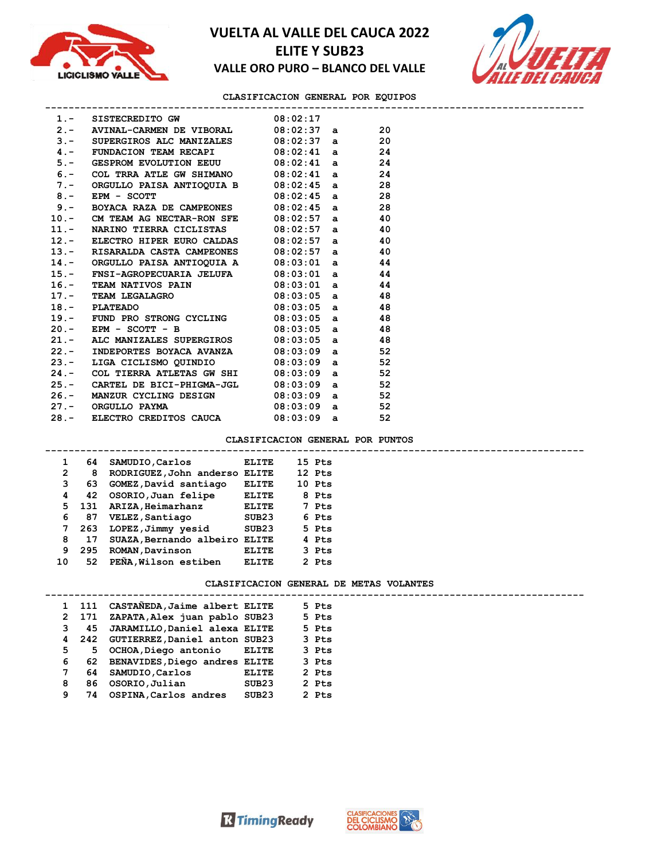



**CLASIFICACION GENERAL POR EQUIPOS**

| 1.- SISTECREDITO GW 08:02:17                                                                          |  |  |  |
|-------------------------------------------------------------------------------------------------------|--|--|--|
| 2.- AVINAL-CARMEN DE VIBORAL $08:02:37$ a 20                                                          |  |  |  |
| 3.- SUPERGIROS ALC MANIZALES 08:02:37 a 20                                                            |  |  |  |
| 4.- FUNDACION TEAM RECAPI $08:02:41$ a 24                                                             |  |  |  |
| 5.- GESPROM EVOLUTION EEUU 08:02:41 a 24                                                              |  |  |  |
| 6.- COL TRRA ATLE GW SHIMANO $08:02:41$ a 24                                                          |  |  |  |
| 7.- ORGULLO PAISA ANTIOQUIA B 08:02:45 a 28                                                           |  |  |  |
| 8.- EPM - SCOTT<br>9.- BOYACA RAZA DE CAMPEONES 08:02:45 a 28                                         |  |  |  |
|                                                                                                       |  |  |  |
| 10.- CM TEAM AG NECTAR-RON SFE $08:02:57$ a 40                                                        |  |  |  |
| 11.- NARINO TIERRA CICLISTAS $08:02:57$ a 40                                                          |  |  |  |
| 12.- ELECTRO HIPER EURO CALDAS 08:02:57 a 40                                                          |  |  |  |
| 13.- RISARALDA CASTA CAMPEONES 08:02:57 a 40                                                          |  |  |  |
| 14.- ORGULLO PAISA ANTIOQUIA A 08:03:01 a 44                                                          |  |  |  |
| 15.- FNSI-AGROPECUARIA JELUFA 08:03:01 a 44                                                           |  |  |  |
|                                                                                                       |  |  |  |
| 16. TEAM NATIVOS PAIN 08:03:01 a 44<br>17. TEAM LEGALAGRO 08:03:05 a 48<br>18. PLATEADO 08:03:05 a 48 |  |  |  |
|                                                                                                       |  |  |  |
| 19. – FUND PRO STRONG CYCLING 08:03:05 a 48<br>20. – EPM – SCOTT – B 08:03:05 a 48                    |  |  |  |
|                                                                                                       |  |  |  |
| 21.- ALC MANIZALES SUPERGIROS $08:03:05$ a 48<br>22.- INDEPORTES BOYACA AVANZA $08:03:09$ a 52        |  |  |  |
|                                                                                                       |  |  |  |
| 23.- LIGA CICLISMO QUINDIO 08:03:09 a 52                                                              |  |  |  |
| 24.- COL TIERRA ATLETAS GW SHI 08:03:09 a 52                                                          |  |  |  |
| 25.- CARTEL DE BICI-PHIGMA-JGL 08:03:09 a 52                                                          |  |  |  |
| 26.- MANZUR CYCLING DESIGN 08:03:09 a 52<br>27.- ORGULLO PAYMA 08:03:09 a 52                          |  |  |  |
|                                                                                                       |  |  |  |
| 28.- ELECTRO CREDITOS CAUCA 08:03:09 a 52                                                             |  |  |  |

#### **CLASIFICACION GENERAL POR PUNTOS**

|    | 64    | SAMUDIO, Carlos               | <b>ELITE</b>      | 15 Pts |  |
|----|-------|-------------------------------|-------------------|--------|--|
| 2  | 8     | RODRIGUEZ, John anderso ELITE |                   | 12 Pts |  |
| 3  | 63    | GOMEZ, David santiago         | <b>ELITE</b>      | 10 Pts |  |
| 4  | 42    | OSORIO, Juan felipe           | <b>ELITE</b>      | 8 Pts  |  |
| 5. | - 131 | ARIZA, Heimarhanz             | <b>ELITE</b>      | 7 Pts  |  |
| 6  | 87    | VELEZ, Santiago               | SUB <sub>23</sub> | 6 Pts  |  |
| 7  | 263   | LOPEZ, Jimmy yesid            | SUB23             | 5 Pts  |  |
| 8  | 17    | SUAZA, Bernando albeiro ELITE |                   | 4 Pts  |  |
| 9  | 295   | ROMAN, Davinson               | <b>ELITE</b>      | 3 Pts  |  |
| 10 | 52    | PEÑA, Wilson estiben          | <b>ELITE</b>      | 2 Pts  |  |
|    |       |                               |                   |        |  |

#### **CLASIFICACION GENERAL DE METAS VOLANTES**

|   | 1 111 | CASTAÑEDA, Jaime albert ELITE       |              | 5 Pts |  |  |  |  |
|---|-------|-------------------------------------|--------------|-------|--|--|--|--|
|   | 2 171 | ZAPATA, Alex juan pablo SUB23       |              | 5 Pts |  |  |  |  |
|   | 3 45  | JARAMILLO, Daniel alexa ELITE       |              | 5 Pts |  |  |  |  |
|   |       | 4 242 GUTIERREZ, Daniel anton SUB23 |              | 3 Pts |  |  |  |  |
| 5 | 5.    | OCHOA,Diego antonio                 | ELITE        | 3 Pts |  |  |  |  |
| 6 |       | 62 BENAVIDES, Diego andres ELITE    |              | 3 Pts |  |  |  |  |
| 7 | 64    | SAMUDIO, Carlos                     | <b>ELITE</b> | 2 Pts |  |  |  |  |
| 8 | 86    | OSORIO, Julian                      | SUB23        | 2 Pts |  |  |  |  |
| 9 | 74    | OSPINA, Carlos andres               | SUB23        | 2 Pts |  |  |  |  |



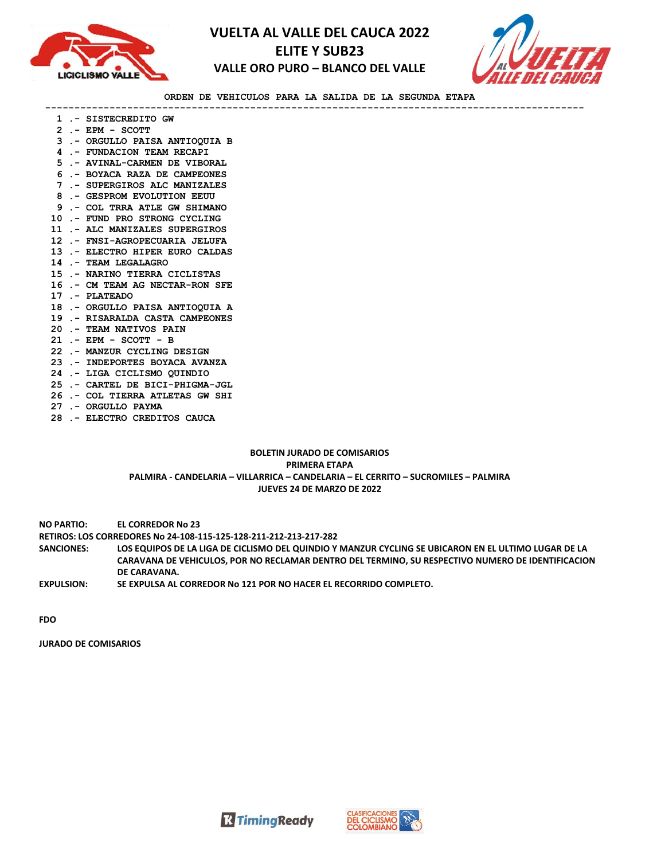



**ORDEN DE VEHICULOS PARA LA SALIDA DE LA SEGUNDA ETAPA --------------------------------------------------------------------------------------------**

| 1 .- SISTECREDITO GW            |
|---------------------------------|
| $2 - EPM - SCOTT$               |
| 3 .- ORGULLO PAISA ANTIOQUIA B  |
| 4 .- FUNDACION TEAM RECAPI      |
| 5 .- AVINAL-CARMEN DE VIBORAL   |
| 6 .- BOYACA RAZA DE CAMPEONES   |
| 7 .- SUPERGIROS ALC MANIZALES   |
| 8 .- GESPROM EVOLUTION EEUU     |
| 9 .- COL TRRA ATLE GW SHIMANO   |
| 10 .- FUND PRO STRONG CYCLING   |
| 11 .- ALC MANIZALES SUPERGIROS  |
| 12 .- FNSI-AGROPECUARIA JELUFA  |
| 13 .- ELECTRO HIPER EURO CALDAS |
| 14 .- TEAM LEGALAGRO            |
| 15 .- NARINO TIERRA CICLISTAS   |
| 16 .- CM TEAM AG NECTAR-RON SFE |
| 17 .- PLATEADO                  |
| 18 .- ORGULLO PAISA ANTIOOUIA A |
| 19 .- RISARALDA CASTA CAMPEONES |
| 20 .- TEAM NATIVOS PAIN         |
| 21 .- EPM - SCOTT - B           |
| 22 .- MANZUR CYCLING DESIGN     |
| 23 .- INDEPORTES BOYACA AVANZA  |
| 24 .- LIGA CICLISMO OUINDIO     |
| 25 .- CARTEL DE BICI-PHIGMA-JGL |
| 26 .- COL TIERRA ATLETAS GW SHI |

- **27 .- ORGULLO PAYMA**
- **28 .- ELECTRO CREDITOS CAUCA**

### **BOLETIN JURADO DE COMISARIOS PRIMERA ETAPA PALMIRA - CANDELARIA – VILLARRICA – CANDELARIA – EL CERRITO – SUCROMILES – PALMIRA JUEVES 24 DE MARZO DE 2022**

**NO PARTIO: EL CORREDOR No 23**

**RETIROS: LOS CORREDORES No 24-108-115-125-128-211-212-213-217-282**

**SANCIONES: LOS EQUIPOS DE LA LIGA DE CICLISMO DEL QUINDIO Y MANZUR CYCLING SE UBICARON EN EL ULTIMO LUGAR DE LA CARAVANA DE VEHICULOS, POR NO RECLAMAR DENTRO DEL TERMINO, SU RESPECTIVO NUMERO DE IDENTIFICACION DE CARAVANA.** 

**EXPULSION: SE EXPULSA AL CORREDOR No 121 POR NO HACER EL RECORRIDO COMPLETO.** 

**FDO**

**JURADO DE COMISARIOS**



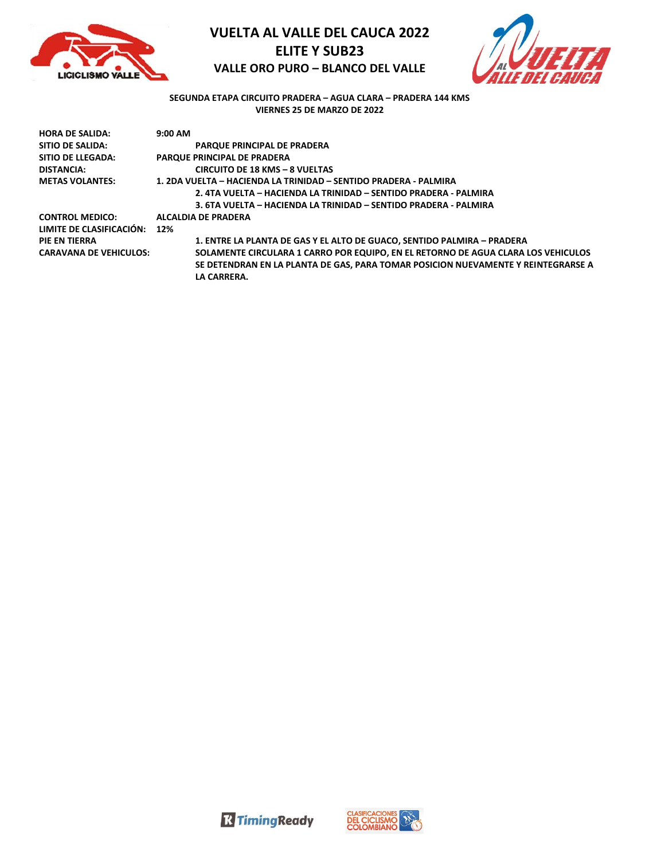



## **SEGUNDA ETAPA CIRCUITO PRADERA – AGUA CLARA – PRADERA 144 KMS VIERNES 25 DE MARZO DE 2022**

| <b>HORA DE SALIDA:</b>        | $9:00$ AM                                                                         |
|-------------------------------|-----------------------------------------------------------------------------------|
| SITIO DE SALIDA:              | PARQUE PRINCIPAL DE PRADERA                                                       |
| SITIO DE LLEGADA:             | <b>PARQUE PRINCIPAL DE PRADERA</b>                                                |
| <b>DISTANCIA:</b>             | <b>CIRCUITO DE 18 KMS - 8 VUELTAS</b>                                             |
| <b>METAS VOLANTES:</b>        | 1. 2DA VUELTA – HACIENDA LA TRINIDAD – SENTIDO PRADERA - PALMIRA                  |
|                               | 2. 4TA VUELTA – HACIENDA LA TRINIDAD – SENTIDO PRADERA - PALMIRA                  |
|                               | 3. 6TA VUELTA – HACIENDA LA TRINIDAD – SENTIDO PRADERA - PALMIRA                  |
| <b>CONTROL MEDICO:</b>        | ALCALDIA DE PRADERA                                                               |
| LIMITE DE CLASIFICACIÓN:      | 12%                                                                               |
| <b>PIE EN TIERRA</b>          | 1. ENTRE LA PLANTA DE GAS Y EL ALTO DE GUACO, SENTIDO PALMIRA - PRADERA           |
| <b>CARAVANA DE VEHICULOS:</b> | SOLAMENTE CIRCULARA 1 CARRO POR EQUIPO, EN EL RETORNO DE AGUA CLARA LOS VEHICULOS |
|                               | SE DETENDRAN EN LA PLANTA DE GAS, PARA TOMAR POSICION NUEVAMENTE Y REINTEGRARSE A |
|                               | LA CARRERA.                                                                       |